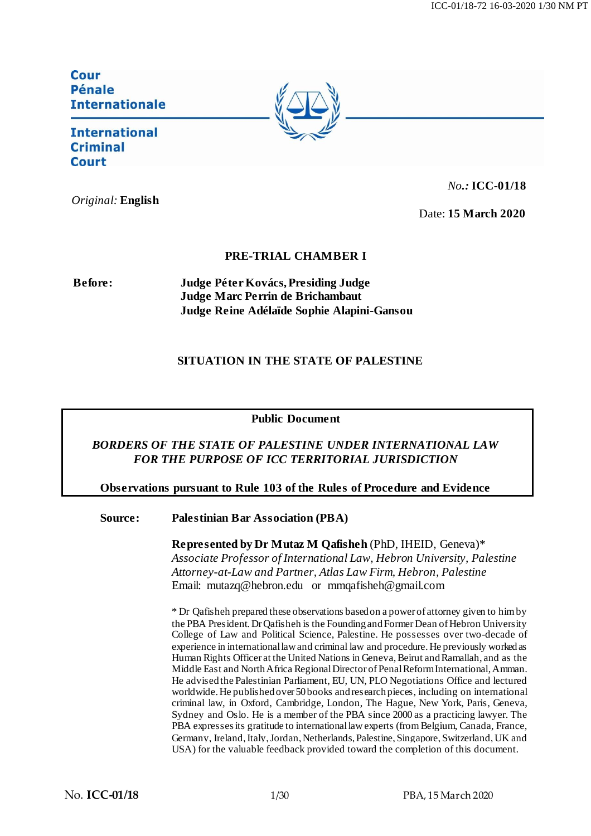Cour **Pénale Internationale** 

# **International Criminal** Court

*Original:* **English**

*No.:* **ICC-01/18**

Date: **15 March 2020**

## **PRE-TRIAL CHAMBER I**

**Before: Judge Péter Kovács, Presiding Judge Judge Marc Perrin de Brichambaut Judge Reine Adélaïde Sophie Alapini-Gansou**

# **SITUATION IN THE STATE OF PALESTINE**

#### **Public Document**

## *BORDERS OF THE STATE OF PALESTINE UNDER INTERNATIONAL LAW FOR THE PURPOSE OF ICC TERRITORIAL JURISDICTION*

#### **Observations pursuant to Rule 103 of the Rules of Procedure and Evidence**

#### **Source: Palestinian Bar Association (PBA)**

**Represented by Dr Mutaz M Qafisheh** (PhD, IHEID, Geneva)\* *Associate Professor of International Law, Hebron University, Palestine Attorney-at-Law and Partner, Atlas Law Firm, Hebron, Palestine* Email: [mutazq@hebron.edu](mailto:mutazq@hebron.edu) or [mmqafisheh@gmail.com](mailto:mmqafisheh@gmail.com)

\* Dr Qafisheh prepared these observations based on a power of attorney given to him by the PBA President.Dr Qafisheh is the Founding and Former Dean of Hebron University College of Law and Political Science, Palestine. He possesses over two-decade of experience in international law and criminal law and procedure. He previously workedas Human Rights Officer at the United Nations in Geneva,Beirut and Ramallah, and as the Middle East and North Africa Regional Director of Penal Reform International,Amman. He advised the Palestinian Parliament, EU, UN, PLO Negotiations Office and lectured worldwide. He published over 50 books and research pieces, including on international criminal law, in Oxford, Cambridge, London, The Hague, New York, Paris, Geneva, Sydney and Oslo. He is a member of the PBA since 2000 as a practicing lawyer. The PBA expresses its gratitude to international law experts (from Belgium, Canada, France, Germany, Ireland, Italy, Jordan, Netherlands, Palestine, Singapore, Switzerland, UK and USA) for the valuable feedback provided toward the completion of this document.

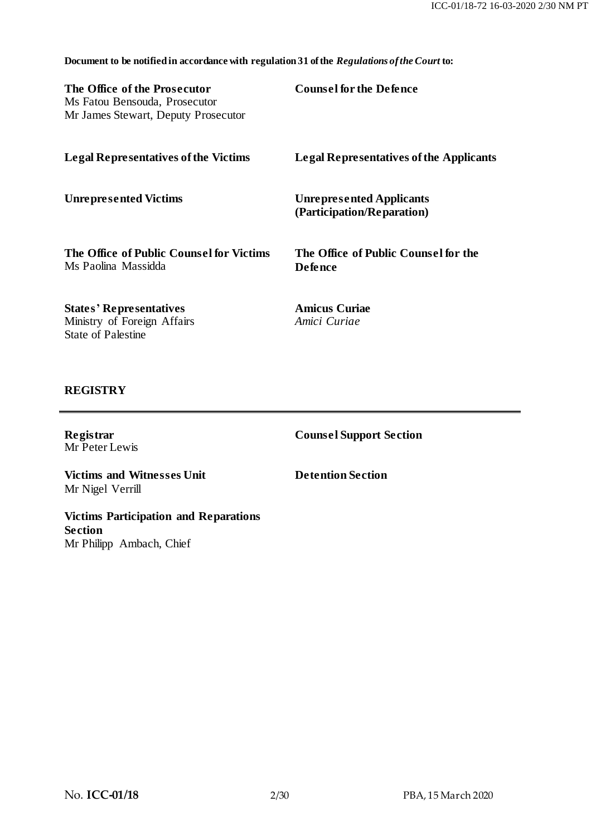**Document to be notified in accordance with regulation 31 of the** *Regulations of the Court* **to:**

**The Office of the Prosecutor** Ms Fatou Bensouda, Prosecutor Mr James Stewart, Deputy Prosecutor **Counsel for the Defence**

| <b>Legal Representatives of the Victims</b>                     | <b>Legal Representatives of the Applicants</b>                |
|-----------------------------------------------------------------|---------------------------------------------------------------|
| <b>Unrepresented Victims</b>                                    | <b>Unrepresented Applicants</b><br>(Participation/Reparation) |
| The Office of Public Counsel for Victims<br>Ms Paolina Massidda | The Office of Public Counsel for the<br><b>Defence</b>        |
| <b>States' Representatives</b><br>Ministry of Foreign Affairs   | <b>Amicus Curiae</b><br>Amici Curiae                          |

#### **REGISTRY**

State of Palestine

**Registrar** Mr Peter Lewis **Counsel Support Section**

**Victims and Witnesses Unit** Mr Nigel Verrill

**Detention Section**

**Victims Participation and Reparations Section** Mr Philipp Ambach, Chief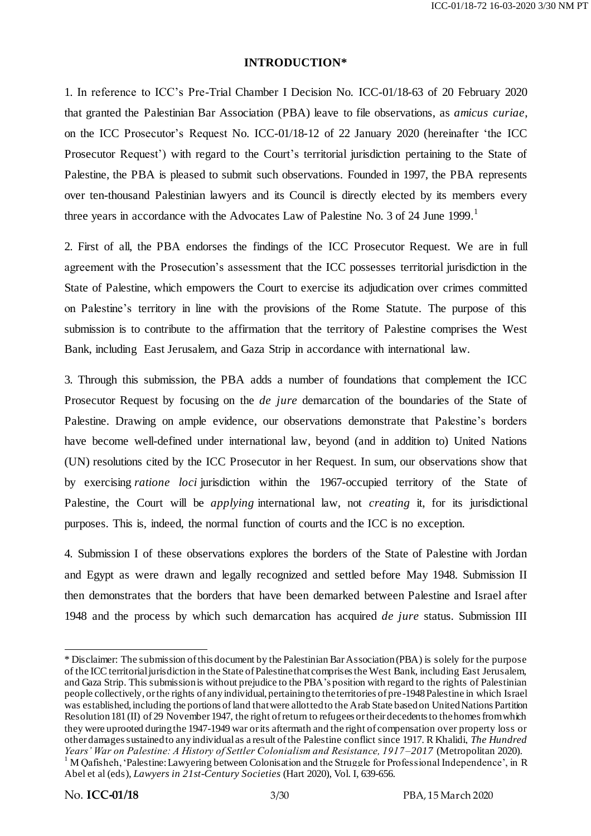#### **INTRODUCTION\***

1. In reference to ICC's Pre-Trial Chamber I Decision No. ICC-01/18-63 of 20 February 2020 that granted the Palestinian Bar Association (PBA) leave to file observations, as *amicus curiae*, on the ICC Prosecutor's Request No. ICC-01/18-12 of 22 January 2020 (hereinafter 'the ICC Prosecutor Request') with regard to the Court's territorial jurisdiction pertaining to the State of Palestine, the PBA is pleased to submit such observations. Founded in 1997, the PBA represents over ten-thousand Palestinian lawyers and its Council is directly elected by its members every three years in accordance with the Advocates Law of Palestine No. 3 of 24 June 1999.<sup>1</sup>

2. First of all, the PBA endorses the findings of the ICC Prosecutor Request. We are in full agreement with the Prosecution's assessment that the ICC possesses territorial jurisdiction in the State of Palestine, which empowers the Court to exercise its adjudication over crimes committed on Palestine's territory in line with the provisions of the Rome Statute. The purpose of this submission is to contribute to the affirmation that the territory of Palestine comprises the West Bank, including East Jerusalem, and Gaza Strip in accordance with international law.

3. Through this submission, the PBA adds a number of foundations that complement the ICC Prosecutor Request by focusing on the *de jure* demarcation of the boundaries of the State of Palestine. Drawing on ample evidence, our observations demonstrate that Palestine's borders have become well-defined under international law, beyond (and in addition to) United Nations (UN) resolutions cited by the ICC Prosecutor in her Request. In sum, our observations show that by exercising *ratione loci* jurisdiction within the 1967-occupied territory of the State of Palestine, the Court will be *applying* international law, not *creating* it, for its jurisdictional purposes. This is, indeed, the normal function of courts and the ICC is no exception.

4. Submission I of these observations explores the borders of the State of Palestine with Jordan and Egypt as were drawn and legally recognized and settled before May 1948. Submission II then demonstrates that the borders that have been demarked between Palestine and Israel after 1948 and the process by which such demarcation has acquired *de jure* status. Submission III

<sup>\*</sup> Disclaimer: The submission of this document by the Palestinian Bar Association (PBA) is solely for the purpose of the ICC territorial jurisdiction in the State of Palestine that comprises the West Bank, including East Jerusalem, and Gaza Strip. This submission is without prejudice to the PBA's position with regard to the rights of Palestinian people collectively, or the rights of any individual, pertaining to the territories of pre-1948 Palestine in which Israel was established, including the portions of land that were allotted to the Arab State based on United Nations Partition Resolution 181 (II) of 29 November 1947, the right of return to refugees or their decedents to the homes from which they were uprooted during the 1947-1949 war or its aftermath and the right of compensation over property loss or other damages sustained to any individual as a result of the Palestine conflict since 1917. R Khalidi, *The Hundred Years' War on Palestine: A History of Settler Colonialism and Resistance, 1917 –2017* (Metropolitan 2020).  $1 \text{ M}$  Qafisheh, 'Palestine: Lawyering between Colonisation and the Struggle for Professional Independence', in R Abel et al (eds), *Lawyers in 21st-Century Societies* (Hart 2020), Vol. I, 639-656.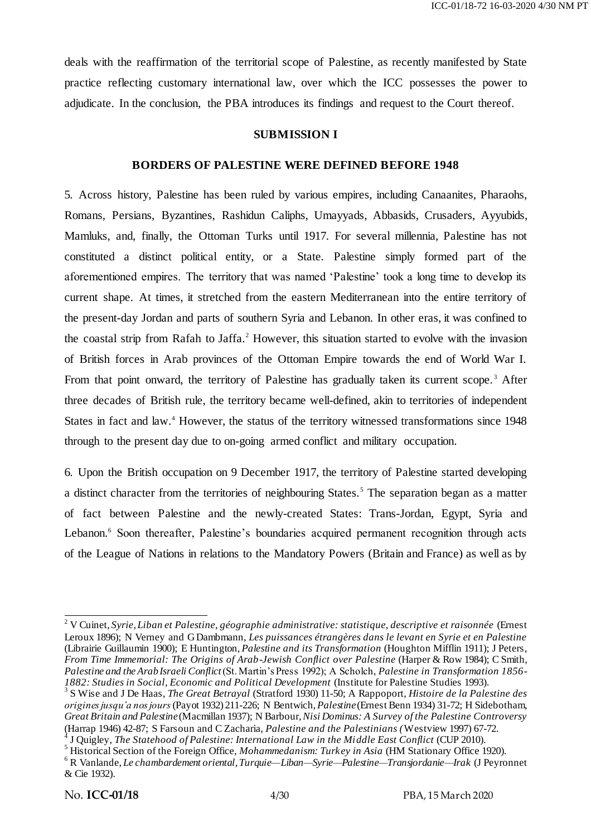deals with the reaffirmation of the territorial scope of Palestine, as recently manifested by State practice reflecting customary international law, over which the ICC possesses the power to adjudicate. In the conclusion, the PBA introduces its findings and request to the Court thereof.

#### **SUBMISSION I**

#### **BORDERS OF PALESTINE WERE DEFINED BEFORE 1948**

5. Across history, Palestine has been ruled by various empires, including Canaanites, Pharaohs, Romans, Persians, Byzantines, Rashidun Caliphs, Umayyads, Abbasids, Crusaders, Ayyubids, Mamluks, and, finally, the Ottoman Turks until 1917. For several millennia, Palestine has not constituted a distinct political entity, or a State. Palestine simply formed part of the aforementioned empires. The territory that was named 'Palestine' took a long time to develop its current shape. At times, it stretched from the eastern Mediterranean into the entire territory of the present-day Jordan and parts of southern Syria and Lebanon. In other eras, it was confined to the coastal strip from Rafah to Jaffa.<sup>2</sup> However, this situation started to evolve with the invasion of British forces in Arab provinces of the Ottoman Empire towards the end of World War I. From that point onward, the territory of Palestine has gradually taken its current scope.<sup>3</sup> After three decades of British rule, the territory became well-defined, akin to territories of independent States in fact and law.<sup>4</sup> However, the status of the territory witnessed transformations since 1948 through to the present day due to on-going armed conflict and military occupation.

6. Upon the British occupation on 9 December 1917, the territory of Palestine started developing a distinct character from the territories of neighbouring States.<sup>5</sup> The separation began as a matter of fact between Palestine and the newly-created States: Trans-Jordan, Egypt, Syria and Lebanon.<sup>6</sup> Soon thereafter, Palestine's boundaries acquired permanent recognition through acts of the League of Nations in relations to the Mandatory Powers (Britain and France) as well as by

<sup>4</sup> J Quigley, *The Statehood of Palestine: International Law in the Middle East Conflict* (CUP 2010).

<sup>2</sup> V Cuinet, *Syrie, Liban et Palestine, géographie administrative: statistique, descriptive et raisonnée* (Ernest Leroux 1896); N Verney and G Dambmann, *Les puissances étrangères dans le levant en Syrie et en Palestine* (Librairie Guillaumin 1900); E Huntington, *Palestine and its Transformation* (Houghton Mifflin 1911); J Peters, *From Time Immemorial: The Origins of Arab-Jewish Conflict over Palestine* (Harper & Row 1984); C Smith, *Palestine and the Arab Israeli Conflict*(St. Martin's Press 1992); A Scholch, *Palestine in Transformation 1856- 1882: Studies in Social, Economic and Political Development* (Institute for Palestine Studies 1993).

<sup>3</sup> S Wise and J De Haas, *The Great Betrayal* (Stratford 1930) 11-50; A Rappoport, *Histoire de la Palestine des origines jusqu'a nos jours*(Payot 1932) 211-226; N Bentwich, *Palestine*(Ernest Benn 1934) 31-72; H Sidebotham, *Great Britain and Palestine*(Macmillan 1937); N Barbour, *Nisi Dominus: A Survey of the Palestine Controversy* (Harrap 1946) 42-87; S Farsoun and C Zacharia, *Palestine and the Palestinians (*Westview 1997) 67-72.

<sup>5</sup> Historical Section of the Foreign Office, *Mohammedanism: Turkey in Asia* (HM Stationary Office 1920). <sup>6</sup> R Vanlande, *Le chambardement oriental, Turquie—Liban—Syrie—Palestine—Transjordanie—Irak* (J Peyronnet

<sup>&</sup>amp; Cie 1932).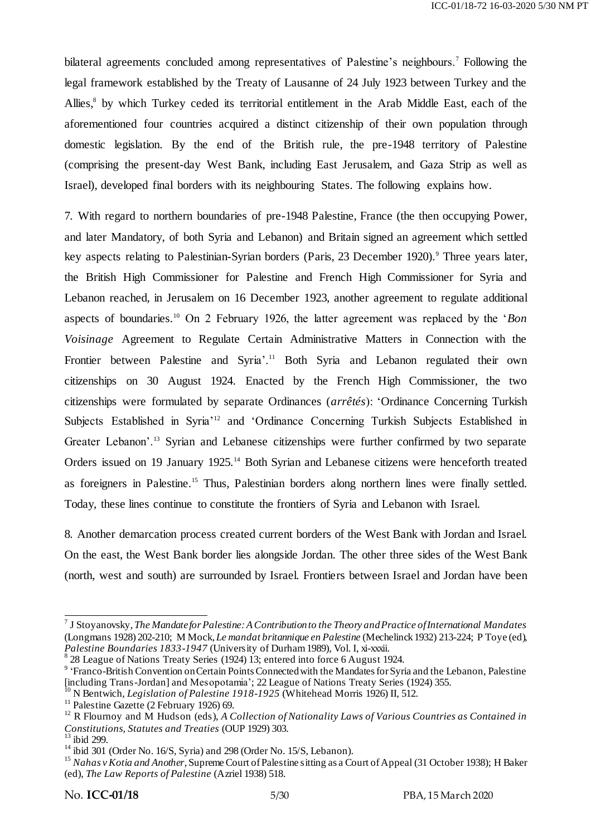bilateral agreements concluded among representatives of Palestine's neighbours.<sup>7</sup> Following the legal framework established by the Treaty of Lausanne of 24 July 1923 between Turkey and the Allies,<sup>8</sup> by which Turkey ceded its territorial entitlement in the Arab Middle East, each of the aforementioned four countries acquired a distinct citizenship of their own population through domestic legislation. By the end of the British rule, the pre-1948 territory of Palestine (comprising the present-day West Bank, including East Jerusalem, and Gaza Strip as well as Israel), developed final borders with its neighbouring States. The following explains how.

7. With regard to northern boundaries of pre-1948 Palestine, France (the then occupying Power, and later Mandatory, of both Syria and Lebanon) and Britain signed an agreement which settled key aspects relating to Palestinian-Syrian borders (Paris, 23 December 1920).<sup>9</sup> Three years later, the British High Commissioner for Palestine and French High Commissioner for Syria and Lebanon reached, in Jerusalem on 16 December 1923, another agreement to regulate additional aspects of boundaries.<sup>10</sup> On 2 February 1926, the latter agreement was replaced by the *'Bon Voisinage* Agreement to Regulate Certain Administrative Matters in Connection with the Frontier between Palestine and Syria'.<sup>11</sup> Both Syria and Lebanon regulated their own citizenships on 30 August 1924. Enacted by the French High Commissioner, the two citizenships were formulated by separate Ordinances (*arrêtés*): ‗Ordinance Concerning Turkish Subjects Established in Syria<sup>12</sup> and 'Ordinance Concerning Turkish Subjects Established in Greater Lebanon'.<sup>13</sup> Syrian and Lebanese citizenships were further confirmed by two separate Orders issued on 19 January 1925.<sup>14</sup> Both Syrian and Lebanese citizens were henceforth treated as foreigners in Palestine.<sup>15</sup> Thus, Palestinian borders along northern lines were finally settled. Today, these lines continue to constitute the frontiers of Syria and Lebanon with Israel.

8. Another demarcation process created current borders of the West Bank with Jordan and Israel. On the east, the West Bank border lies alongside Jordan. The other three sides of the West Bank (north, west and south) are surrounded by Israel. Frontiers between Israel and Jordan have been

 7 J Stoyanovsky, *The Mandate for Palestine: A Contribution to the Theory and Practice of International Mandates* (Longmans 1928) 202-210; M Mock, *Le mandat britannique en Palestine* (Mechelinck 1932) 213-224; P Toye (ed), *Palestine Boundaries 1833-1947* (University of Durham 1989), Vol. I, xi-xxxii.

<sup>&</sup>lt;sup>8</sup> 28 League of Nations Treaty Series (1924) 13; entered into force 6 August 1924.

<sup>&</sup>lt;sup>9</sup> 'Franco-British Convention on Certain Points Connected with the Mandates for Syria and the Lebanon, Palestine [including Trans-Jordan] and Mesopotamia'; 22 League of Nations Treaty Series (1924) 355.

<sup>&</sup>lt;sup>10</sup> N Bentwich, *Legislation of Palestine 1918-1925* (Whitehead Morris 1926) II, 512.

 $11$  Palestine Gazette (2 February 1926) 69.

<sup>12</sup> R Flournoy and M Hudson (eds), *A Collection of Nationality Laws of Various Countries as Contained in Constitutions, Statutes and Treaties* (OUP 1929) 303.

 $13$  ibid 299.

<sup>&</sup>lt;sup>14</sup> ibid 301 (Order No. 16/S, Syria) and 298 (Order No. 15/S, Lebanon).

<sup>&</sup>lt;sup>15</sup> *Nahas v Kotia and Another*, Supreme Court of Palestine sitting as a Court of Appeal (31 October 1938); H Baker (ed), *The Law Reports of Palestine* (Azriel 1938) 518.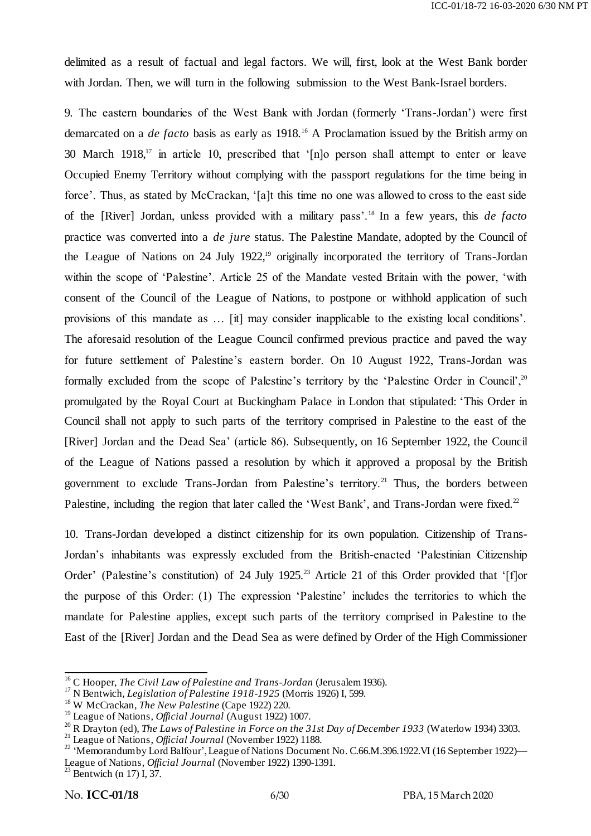delimited as a result of factual and legal factors. We will, first, look at the West Bank border with Jordan. Then, we will turn in the following submission to the West Bank-Israel borders.

9. The eastern boundaries of the West Bank with Jordan (formerly 'Trans-Jordan') were first demarcated on a *de facto* basis as early as 1918.<sup>16</sup> A Proclamation issued by the British army on 30 March  $1918$ ,<sup>17</sup> in article 10, prescribed that '[n]o person shall attempt to enter or leave Occupied Enemy Territory without complying with the passport regulations for the time being in force'. Thus, as stated by McCrackan, '[a]t this time no one was allowed to cross to the east side of the [River] Jordan, unless provided with a military pass'.<sup>18</sup> In a few years, this *de facto* practice was converted into a *de jure* status. The Palestine Mandate, adopted by the Council of the League of Nations on 24 July 1922,<sup>19</sup> originally incorporated the territory of Trans-Jordan within the scope of 'Palestine'. Article 25 of the Mandate vested Britain with the power, 'with consent of the Council of the League of Nations, to postpone or withhold application of such provisions of this mandate as … [it] may consider inapplicable to the existing local conditions'. The aforesaid resolution of the League Council confirmed previous practice and paved the way for future settlement of Palestine's eastern border. On 10 August 1922, Trans-Jordan was formally excluded from the scope of Palestine's territory by the 'Palestine Order in Council', <sup>20</sup> promulgated by the Royal Court at Buckingham Palace in London that stipulated: ‗This Order in Council shall not apply to such parts of the territory comprised in Palestine to the east of the [River] Jordan and the Dead Sea' (article 86). Subsequently, on 16 September 1922, the Council of the League of Nations passed a resolution by which it approved a proposal by the British government to exclude Trans-Jordan from Palestine's territory.<sup>21</sup> Thus, the borders between Palestine, including the region that later called the 'West Bank', and Trans-Jordan were fixed.<sup>22</sup>

10. Trans-Jordan developed a distinct citizenship for its own population. Citizenship of Trans-Jordan's inhabitants was expressly excluded from the British-enacted 'Palestinian Citizenship Order' (Palestine's constitution) of 24 July 1925.<sup>23</sup> Article 21 of this Order provided that '[f]or the purpose of this Order: (1) The expression 'Palestine' includes the territories to which the mandate for Palestine applies, except such parts of the territory comprised in Palestine to the East of the [River] Jordan and the Dead Sea as were defined by Order of the High Commissioner

 $23$  Bentwich (n 17) I, 37.

<sup>&</sup>lt;sup>16</sup> C Hooper, *The Civil Law of Palestine and Trans-Jordan* (Jerusalem 1936).

<sup>&</sup>lt;sup>17</sup> N Bentwich, *Legislation of Palestine 1918-1925* (Morris 1926) I, 599.

<sup>18</sup> W McCrackan, *The New Palestine* (Cape 1922) 220.

<sup>19</sup> League of Nations, *Official Journal* (August 1922) 1007.

<sup>20</sup> R Drayton (ed), *The Laws of Palestine in Force on the 31st Day of December 1933* (Waterlow 1934) 3303.

<sup>21</sup> League of Nations, *Official Journal* (November 1922) 1188.

<sup>&</sup>lt;sup>22</sup> 'Memorandum by Lord Balfour', League of Nations Document No. C.66.M.396.1922.VI (16 September 1922)— League of Nations, *Official Journal* (November 1922) 1390-1391.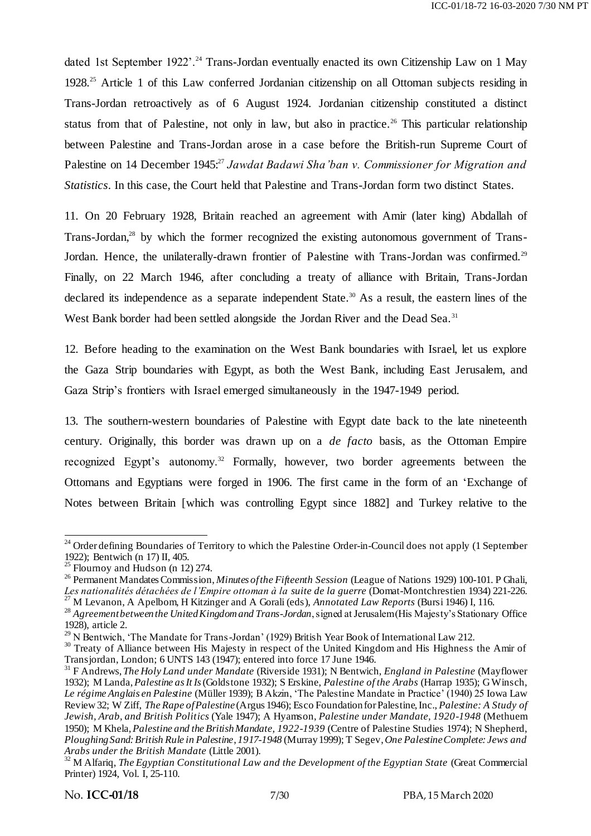dated 1st September 1922'.<sup>24</sup> Trans-Jordan eventually enacted its own Citizenship Law on 1 May 1928.<sup>25</sup> Article 1 of this Law conferred Jordanian citizenship on all Ottoman subjects residing in Trans-Jordan retroactively as of 6 August 1924. Jordanian citizenship constituted a distinct status from that of Palestine, not only in law, but also in practice.<sup>26</sup> This particular relationship between Palestine and Trans-Jordan arose in a case before the British-run Supreme Court of Palestine on 14 December 1945:<sup>27</sup> *Jawdat Badawi Sha'ban v. Commissioner for Migration and Statistics*. In this case, the Court held that Palestine and Trans-Jordan form two distinct States.

11. On 20 February 1928, Britain reached an agreement with Amir (later king) Abdallah of Trans-Jordan,<sup>28</sup> by which the former recognized the existing autonomous government of Trans-Jordan. Hence, the unilaterally-drawn frontier of Palestine with Trans-Jordan was confirmed.<sup>29</sup> Finally, on 22 March 1946, after concluding a treaty of alliance with Britain, Trans-Jordan declared its independence as a separate independent State.<sup>30</sup> As a result, the eastern lines of the West Bank border had been settled alongside the Jordan River and the Dead Sea.<sup>31</sup>

12. Before heading to the examination on the West Bank boundaries with Israel, let us explore the Gaza Strip boundaries with Egypt, as both the West Bank, including East Jerusalem, and Gaza Strip's frontiers with Israel emerged simultaneously in the 1947-1949 period.

13. The southern-western boundaries of Palestine with Egypt date back to the late nineteenth century. Originally, this border was drawn up on a *de facto* basis, as the Ottoman Empire recognized Egypt's autonomy.<sup>32</sup> Formally, however, two border agreements between the Ottomans and Egyptians were forged in 1906. The first came in the form of an 'Exchange of Notes between Britain [which was controlling Egypt since 1882] and Turkey relative to the

<sup>-</sup><sup>24</sup> Order defining Boundaries of Territory to which the Palestine Order-in-Council does not apply (1 September 1922); Bentwich (n 17) II, 405.

 $25$  Flournoy and Hudson (n 12) 274.

<sup>26</sup> Permanent Mandates Commission, *Minutes of the Fifteenth Session* (League of Nations 1929) 100-101. P Ghali, *Les nationalités détachées de l'Empire ottoman à la suite de la guerre* (Domat-Montchrestien 1934) 221-226. <sup>27</sup> M Levanon, A Apelbom, H Kitzinger and A Gorali (eds), *Annotated Law Reports* (Bursi 1946) I, 116.

<sup>&</sup>lt;sup>28</sup> Agreement between the United Kingdom and Trans-Jordan, signed at Jerusalem (His Majesty's Stationary Office 1928), article 2.

 $^{29}$  N Bentwich, 'The Mandate for Trans-Jordan' (1929) British Year Book of International Law 212.

<sup>&</sup>lt;sup>30</sup> Treaty of Alliance between His Majesty in respect of the United Kingdom and His Highness the Amir of Transjordan, London; 6 UNTS 143 (1947); entered into force 17 June 1946.

<sup>31</sup> F Andrews, *The Holy Land under Mandate* (Riverside 1931); N Bentwich, *England in Palestine* (Mayflower 1932); M Landa, *Palestine as It Is*(Goldstone 1932); S Erskine, *Palestine of the Arabs* (Harrap 1935); G Winsch, *Le régime Anglais en Palestine* (Müller 1939); B Akzin, ‗The Palestine Mandate in Practice' (1940) 25 Iowa Law Review 32; W Ziff, *The Rape of Palestine* (Argus 1946); Esco Foundation for Palestine, Inc., *Palestine: A Study of Jewish, Arab, and British Politics* (Yale 1947); A Hyamson, *Palestine under Mandate, 1920-1948* (Methuem 1950); M Khela, *Palestine and the British Mandate, 1922-1939* (Centre of Palestine Studies 1974); N Shepherd, *Ploughing Sand: British Rule in Palestine*, *1917-1948* (Murray 1999); T Segev, *One Palestine Complete: Jews and Arabs under the British Mandate* (Little 2001).

<sup>&</sup>lt;sup>32</sup> M Alfariq, *The Egyptian Constitutional Law and the Development of the Egyptian State* (Great Commercial Printer) 1924, Vol. I, 25-110.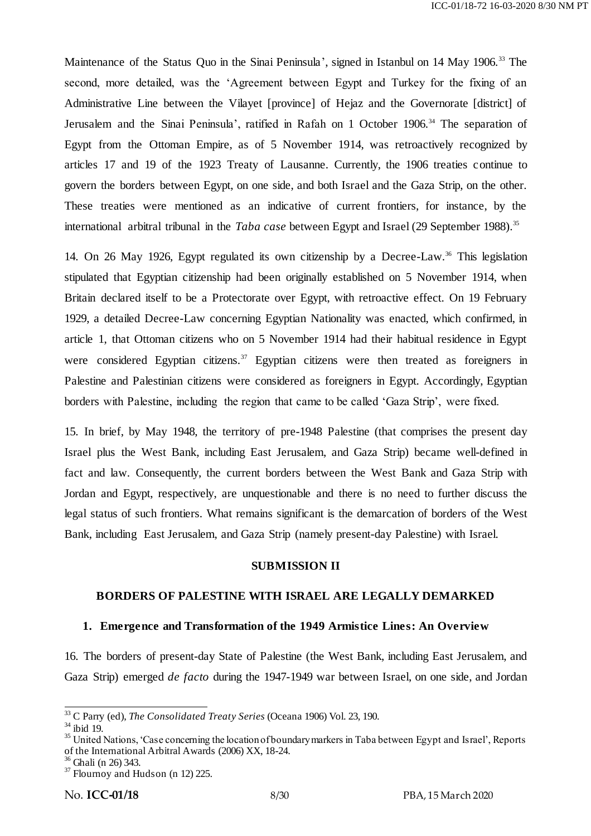Maintenance of the Status Quo in the Sinai Peninsula', signed in Istanbul on 14 May 1906.<sup>33</sup> The second, more detailed, was the 'Agreement between Egypt and Turkey for the fixing of an Administrative Line between the Vilayet [province] of Hejaz and the Governorate [district] of Jerusalem and the Sinai Peninsula', ratified in Rafah on 1 October 1906.<sup>34</sup> The separation of Egypt from the Ottoman Empire, as of 5 November 1914, was retroactively recognized by articles 17 and 19 of the 1923 Treaty of Lausanne. Currently, the 1906 treaties continue to govern the borders between Egypt, on one side, and both Israel and the Gaza Strip, on the other. These treaties were mentioned as an indicative of current frontiers, for instance, by the international arbitral tribunal in the *Taba case* between Egypt and Israel (29 September 1988). 35

14. On 26 May 1926, Egypt regulated its own citizenship by a Decree-Law.<sup>36</sup> This legislation stipulated that Egyptian citizenship had been originally established on 5 November 1914, when Britain declared itself to be a Protectorate over Egypt, with retroactive effect. On 19 February 1929, a detailed Decree-Law concerning Egyptian Nationality was enacted, which confirmed, in article 1, that Ottoman citizens who on 5 November 1914 had their habitual residence in Egypt were considered Egyptian citizens.<sup>37</sup> Egyptian citizens were then treated as foreigners in Palestine and Palestinian citizens were considered as foreigners in Egypt. Accordingly, Egyptian borders with Palestine, including the region that came to be called 'Gaza Strip', were fixed.

15. In brief, by May 1948, the territory of pre-1948 Palestine (that comprises the present day Israel plus the West Bank, including East Jerusalem, and Gaza Strip) became well-defined in fact and law. Consequently, the current borders between the West Bank and Gaza Strip with Jordan and Egypt, respectively, are unquestionable and there is no need to further discuss the legal status of such frontiers. What remains significant is the demarcation of borders of the West Bank, including East Jerusalem, and Gaza Strip (namely present-day Palestine) with Israel.

#### **SUBMISSION II**

#### **BORDERS OF PALESTINE WITH ISRAEL ARE LEGALLY DEMARKED**

### **1. Emergence and Transformation of the 1949 Armistice Lines: An Overview**

16. The borders of present-day State of Palestine (the West Bank, including East Jerusalem, and Gaza Strip) emerged *de facto* during the 1947-1949 war between Israel, on one side, and Jordan

<sup>-</sup><sup>33</sup> C Parry (ed), *The Consolidated Treaty Series* (Oceana 1906) Vol. 23, 190.

<sup>34</sup> ibid 19.

<sup>&</sup>lt;sup>35</sup> United Nations, 'Case concerning the location of boundary markers in Taba between Egypt and Israel', Reports of the International Arbitral Awards (2006) XX, 18-24.

<sup>36</sup> Ghali (n 26) 343.

 $37$  Flournoy and Hudson (n 12) 225.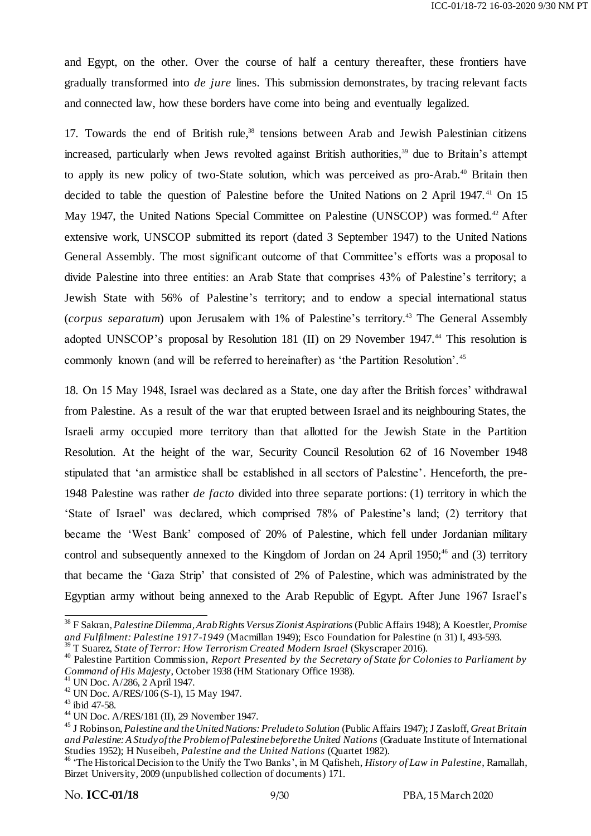and Egypt, on the other. Over the course of half a century thereafter, these frontiers have gradually transformed into *de jure* lines. This submission demonstrates, by tracing relevant facts and connected law, how these borders have come into being and eventually legalized.

17. Towards the end of British rule,<sup>38</sup> tensions between Arab and Jewish Palestinian citizens increased, particularly when Jews revolted against British authorities,<sup>39</sup> due to Britain's attempt to apply its new policy of two-State solution, which was perceived as pro-Arab.<sup>40</sup> Britain then decided to table the question of Palestine before the United Nations on 2 April 1947.<sup>41</sup> On 15 May 1947, the United Nations Special Committee on Palestine (UNSCOP) was formed.<sup>42</sup> After extensive work, UNSCOP submitted its report (dated 3 September 1947) to the United Nations General Assembly. The most significant outcome of that Committee's efforts was a proposal to divide Palestine into three entities: an Arab State that comprises 43% of Palestine's territory; a Jewish State with 56% of Palestine's territory; and to endow a special international status (*corpus separatum*) upon Jerusalem with 1% of Palestine's territory. <sup>43</sup> The General Assembly adopted UNSCOP's proposal by Resolution 181 (II) on 29 November 1947.<sup>44</sup> This resolution is commonly known (and will be referred to hereinafter) as 'the Partition Resolution'.<sup>45</sup>

18. On 15 May 1948, Israel was declared as a State, one day after the British forces' withdrawal from Palestine. As a result of the war that erupted between Israel and its neighbouring States, the Israeli army occupied more territory than that allotted for the Jewish State in the Partition Resolution. At the height of the war, Security Council Resolution 62 of 16 November 1948 stipulated that 'an armistice shall be established in all sectors of Palestine'. Henceforth, the pre-1948 Palestine was rather *de facto* divided into three separate portions: (1) territory in which the ‗State of Israel' was declared, which comprised 78% of Palestine's land; (2) territory that became the 'West Bank' composed of 20% of Palestine, which fell under Jordanian military control and subsequently annexed to the Kingdom of Jordan on  $24$  April 1950;<sup>46</sup> and (3) territory that became the 'Gaza Strip' that consisted of 2% of Palestine, which was administrated by the Egyptian army without being annexed to the Arab Republic of Egypt. After June 1967 Israel's

<sup>39</sup> T Suarez, *State of Terror: How Terrorism Created Modern Israel* (Skyscraper 2016).

<sup>38</sup> F Sakran, *Palestine Dilemma, Arab Rights Versus Zionist Aspirations* (Public Affairs 1948); A Koestler, *Promise and Fulfilment: Palestine 1917-1949* (Macmillan 1949); Esco Foundation for Palestine (n 31) I, 493-593.

<sup>40</sup> Palestine Partition Commission, *Report Presented by the Secretary of State for Colonies to Parliament by Command of His Majesty*, October 1938 (HM Stationary Office 1938).

<sup>41</sup> UN Doc. A/286, 2 April 1947.

<sup>42</sup> UN Doc. A/RES/106 (S-1), 15 May 1947.

<sup>43</sup> ibid 47-58.

<sup>44</sup> UN Doc. A/RES/181 (II), 29 November 1947.

<sup>45</sup> J Robinson, *Palestine and the United Nations: Prelude to Solution* (Public Affairs 1947); J Zasloff, *Great Britain and Palestine: A Study of the Problem of Palestine before the United Nations* (Graduate Institute of International Studies 1952); H Nuseibeh, *Palestine and the United Nations* (Quartet 1982).

<sup>&</sup>lt;sup>46</sup> 'The Historical Decision to the Unify the Two Banks', in M Qafisheh, *History of Law in Palestine*, Ramallah, Birzet University, 2009 (unpublished collection of documents) 171.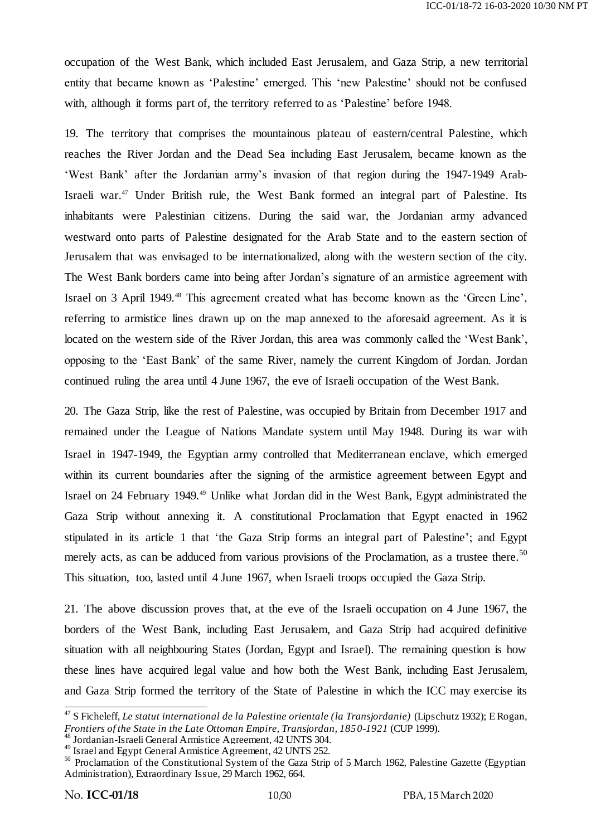occupation of the West Bank, which included East Jerusalem, and Gaza Strip, a new territorial entity that became known as 'Palestine' emerged. This 'new Palestine' should not be confused with, although it forms part of, the territory referred to as 'Palestine' before 1948.

19. The territory that comprises the mountainous plateau of eastern/central Palestine, which reaches the River Jordan and the Dead Sea including East Jerusalem, became known as the ‗West Bank' after the Jordanian army's invasion of that region during the 1947-1949 Arab-Israeli war.<sup>47</sup> Under British rule, the West Bank formed an integral part of Palestine. Its inhabitants were Palestinian citizens. During the said war, the Jordanian army advanced westward onto parts of Palestine designated for the Arab State and to the eastern section of Jerusalem that was envisaged to be internationalized, along with the western section of the city. The West Bank borders came into being after Jordan's signature of an armistice agreement with Israel on 3 April 1949.<sup>48</sup> This agreement created what has become known as the 'Green Line', referring to armistice lines drawn up on the map annexed to the aforesaid agreement. As it is located on the western side of the River Jordan, this area was commonly called the 'West Bank', opposing to the ‗East Bank' of the same River, namely the current Kingdom of Jordan. Jordan continued ruling the area until 4 June 1967, the eve of Israeli occupation of the West Bank.

20. The Gaza Strip, like the rest of Palestine, was occupied by Britain from December 1917 and remained under the League of Nations Mandate system until May 1948. During its war with Israel in 1947-1949, the Egyptian army controlled that Mediterranean enclave, which emerged within its current boundaries after the signing of the armistice agreement between Egypt and Israel on 24 February 1949.<sup>49</sup> Unlike what Jordan did in the West Bank, Egypt administrated the Gaza Strip without annexing it. A constitutional Proclamation that Egypt enacted in 1962 stipulated in its article 1 that 'the Gaza Strip forms an integral part of Palestine'; and Egypt merely acts, as can be adduced from various provisions of the Proclamation, as a trustee there.<sup>50</sup> This situation, too, lasted until 4 June 1967, when Israeli troops occupied the Gaza Strip.

21. The above discussion proves that, at the eve of the Israeli occupation on 4 June 1967, the borders of the West Bank, including East Jerusalem, and Gaza Strip had acquired definitive situation with all neighbouring States (Jordan, Egypt and Israel). The remaining question is how these lines have acquired legal value and how both the West Bank, including East Jerusalem, and Gaza Strip formed the territory of the State of Palestine in which the ICC may exercise its

-

<sup>47</sup> S Ficheleff, *Le statut international de la Palestine orientale (la Transjordanie)* (Lipschutz 1932); E Rogan, *Frontiers of the State in the Late Ottoman Empire, Transjordan, 1850-1921* (CUP 1999).

<sup>48</sup> Jordanian-Israeli General Armistice Agreement, 42 UNTS 304.

<sup>&</sup>lt;sup>49</sup> Israel and Egypt General Armistice Agreement, 42 UNTS 252.

 $50$  Proclamation of the Constitutional System of the Gaza Strip of 5 March 1962, Palestine Gazette (Egyptian Administration), Extraordinary Issue, 29 March 1962, 664.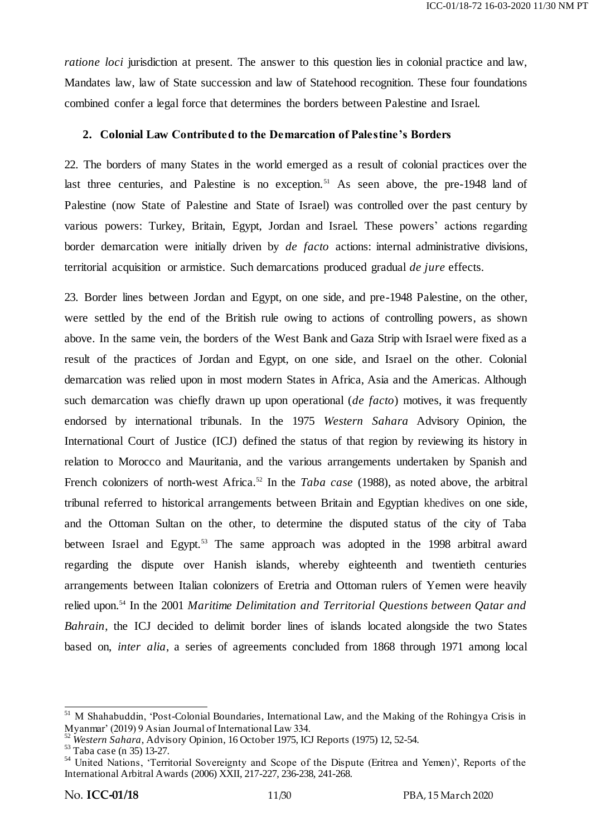*ratione loci* jurisdiction at present. The answer to this question lies in colonial practice and law, Mandates law, law of State succession and law of Statehood recognition. These four foundations combined confer a legal force that determines the borders between Palestine and Israel.

#### **2. Colonial Law Contributed to the Demarcation of Palestine's Borders**

22. The borders of many States in the world emerged as a result of colonial practices over the last three centuries, and Palestine is no exception.<sup>51</sup> As seen above, the pre-1948 land of Palestine (now State of Palestine and State of Israel) was controlled over the past century by various powers: Turkey, Britain, Egypt, Jordan and Israel. These powers' actions regarding border demarcation were initially driven by *de facto* actions: internal administrative divisions, territorial acquisition or armistice. Such demarcations produced gradual *de jure* effects.

23. Border lines between Jordan and Egypt, on one side, and pre-1948 Palestine, on the other, were settled by the end of the British rule owing to actions of controlling powers, as shown above. In the same vein, the borders of the West Bank and Gaza Strip with Israel were fixed as a result of the practices of Jordan and Egypt, on one side, and Israel on the other. Colonial demarcation was relied upon in most modern States in Africa, Asia and the Americas. Although such demarcation was chiefly drawn up upon operational (*de facto*) motives, it was frequently endorsed by international tribunals. In the 1975 *Western Sahara* Advisory Opinion, the International Court of Justice (ICJ) defined the status of that region by reviewing its history in relation to Morocco and Mauritania, and the various arrangements undertaken by Spanish and French colonizers of north-west Africa.<sup>52</sup> In the *Taba case* (1988), as noted above, the arbitral tribunal referred to historical arrangements between Britain and Egyptian khedives on one side, and the Ottoman Sultan on the other, to determine the disputed status of the city of Taba between Israel and Egypt.<sup>53</sup> The same approach was adopted in the 1998 arbitral award regarding the dispute over Hanish islands, whereby eighteenth and twentieth centuries arrangements between Italian colonizers of Eretria and Ottoman rulers of Yemen were heavily relied upon.<sup>54</sup> In the 2001 *Maritime Delimitation and Territorial Questions between Qatar and Bahrain*, the ICJ decided to delimit border lines of islands located alongside the two States based on, *inter alia*, a series of agreements concluded from 1868 through 1971 among local

<sup>-</sup><sup>51</sup> M Shahabuddin, 'Post-Colonial Boundaries, International Law, and the Making of the Rohingya Crisis in Myanmar' (2019) 9 Asian Journal of International Law 334.

<sup>52</sup> *Western Sahara*, Advisory Opinion, 16 October 1975, ICJ Reports (1975) 12, 52-54.

<sup>&</sup>lt;sup>53</sup> Taba case (n 35) 13-27.

<sup>&</sup>lt;sup>54</sup> United Nations, 'Territorial Sovereignty and Scope of the Dispute (Eritrea and Yemen)', Reports of the International Arbitral Awards (2006) XXII, 217-227, 236-238, 241-268.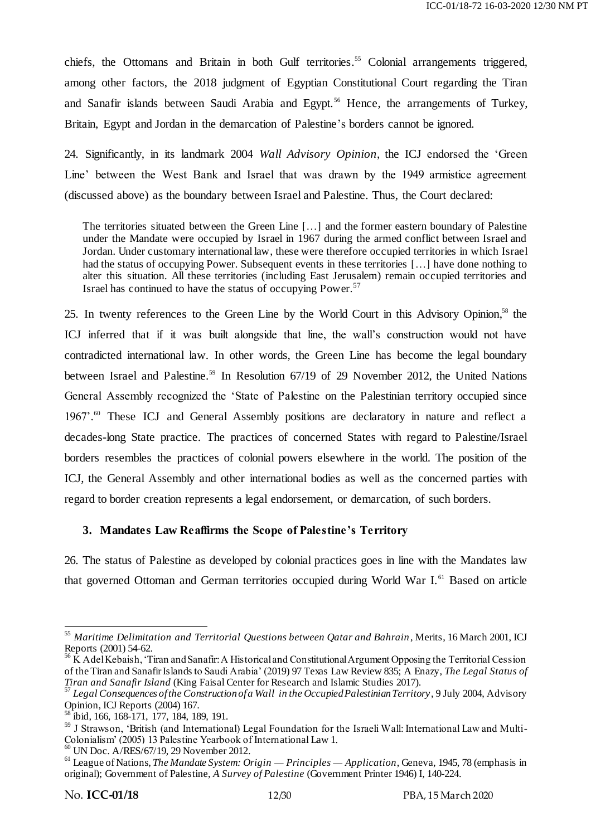chiefs, the Ottomans and Britain in both Gulf territories. <sup>55</sup> Colonial arrangements triggered, among other factors, the 2018 judgment of Egyptian Constitutional Court regarding the Tiran and Sanafir islands between Saudi Arabia and Egypt.<sup>56</sup> Hence, the arrangements of Turkey, Britain, Egypt and Jordan in the demarcation of Palestine's borders cannot be ignored.

24. Significantly, in its landmark 2004 *Wall Advisory Opinion*, the ICJ endorsed the 'Green' Line' between the West Bank and Israel that was drawn by the 1949 armistice agreement (discussed above) as the boundary between Israel and Palestine. Thus, the Court declared:

The territories situated between the Green Line […] and the former eastern boundary of Palestine under the Mandate were occupied by Israel in 1967 during the armed conflict between Israel and Jordan. Under customary international law, these were therefore occupied territories in which Israel had the status of occupying Power. Subsequent events in these territories [...] have done nothing to alter this situation. All these territories (including East Jerusalem) remain occupied territories and Israel has continued to have the status of occupying Power.<sup>57</sup>

25. In twenty references to the Green Line by the World Court in this Advisory Opinion,<sup>58</sup> the ICJ inferred that if it was built alongside that line, the wall's construction would not have contradicted international law. In other words, the Green Line has become the legal boundary between Israel and Palestine.<sup>59</sup> In Resolution 67/19 of 29 November 2012, the United Nations General Assembly recognized the 'State of Palestine on the Palestinian territory occupied since 1967'. <sup>60</sup> These ICJ and General Assembly positions are declaratory in nature and reflect a decades-long State practice. The practices of concerned States with regard to Palestine/Israel borders resembles the practices of colonial powers elsewhere in the world. The position of the ICJ, the General Assembly and other international bodies as well as the concerned parties with regard to border creation represents a legal endorsement, or demarcation, of such borders.

## **3. Mandates Law Reaffirms the Scope of Palestine's Territory**

26. The status of Palestine as developed by colonial practices goes in line with the Mandates law that governed Ottoman and German territories occupied during World War I.<sup>61</sup> Based on article

<sup>.</sup> <sup>55</sup> *Maritime Delimitation and Territorial Questions between Qatar and Bahrain*, Merits, 16 March 2001, ICJ Reports (2001) 54-62.

<sup>&</sup>lt;sup>56</sup> K Adel Kebaish, 'Tiran and Sanafir: A Historical and Constitutional Argument Opposing the Territorial Cession of the Tiran and Sanafir Islands to Saudi Arabia' (2019) 97 Texas Law Review 835; A Enazy, *The Legal Status of Tiran and Sanafir Island* (King Faisal Center for Research and Islamic Studies 2017).

<sup>57</sup> *Legal Consequences of the Construction of a Wall in the Occupied Palestinian Territory*, 9 July 2004, Advisory Opinion, ICJ Reports (2004) 167.

<sup>58</sup> ibid, 166, 168-171, 177, 184, 189, 191.

<sup>59</sup> J Strawson, 'British (and International) Legal Foundation for the Israeli Wall: International Law and Multi-Colonialism' (2005) 13 Palestine Yearbook of International Law 1.

<sup>60</sup> UN Doc. A/RES/67/19, 29 November 2012.

<sup>61</sup> League of Nations, *The Mandate System: Origin — Principles — Application*, Geneva, 1945, 78 (emphasis in original); Government of Palestine, *A Survey of Palestine* (Government Printer 1946) I, 140-224.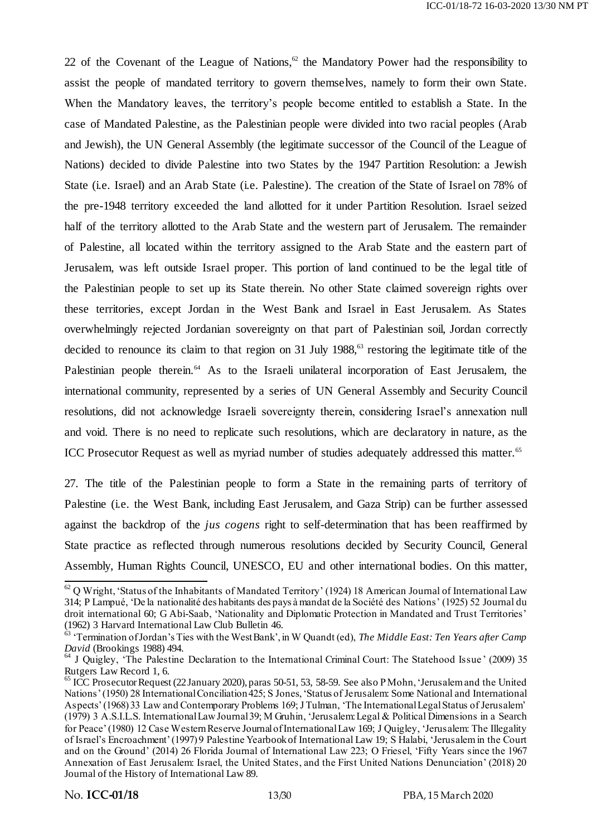22 of the Covenant of the League of Nations,<sup>62</sup> the Mandatory Power had the responsibility to assist the people of mandated territory to govern themselves, namely to form their own State. When the Mandatory leaves, the territory's people become entitled to establish a State. In the case of Mandated Palestine, as the Palestinian people were divided into two racial peoples (Arab and Jewish), the UN General Assembly (the legitimate successor of the Council of the League of Nations) decided to divide Palestine into two States by the 1947 Partition Resolution: a Jewish State (i.e. Israel) and an Arab State (i.e. Palestine). The creation of the State of Israel on 78% of the pre-1948 territory exceeded the land allotted for it under Partition Resolution. Israel seized half of the territory allotted to the Arab State and the western part of Jerusalem. The remainder of Palestine, all located within the territory assigned to the Arab State and the eastern part of Jerusalem, was left outside Israel proper. This portion of land continued to be the legal title of the Palestinian people to set up its State therein. No other State claimed sovereign rights over these territories, except Jordan in the West Bank and Israel in East Jerusalem. As States overwhelmingly rejected Jordanian sovereignty on that part of Palestinian soil, Jordan correctly decided to renounce its claim to that region on 31 July 1988,<sup>63</sup> restoring the legitimate title of the Palestinian people therein.<sup>64</sup> As to the Israeli unilateral incorporation of East Jerusalem, the international community, represented by a series of UN General Assembly and Security Council resolutions, did not acknowledge Israeli sovereignty therein, considering Israel's annexation null and void. There is no need to replicate such resolutions, which are declaratory in nature, as the ICC Prosecutor Request as well as myriad number of studies adequately addressed this matter.<sup>65</sup>

27. The title of the Palestinian people to form a State in the remaining parts of territory of Palestine (i.e. the West Bank, including East Jerusalem, and Gaza Strip) can be further assessed against the backdrop of the *jus cogens* right to self-determination that has been reaffirmed by State practice as reflected through numerous resolutions decided by Security Council, General Assembly, Human Rights Council, UNESCO, EU and other international bodies. On this matter,

 $62$  Q Wright, 'Status of the Inhabitants of Mandated Territory' (1924) 18 American Journal of International Law 314; P Lampué, ‗De la nationalité des habitants des pays à mandat de la Société des Nations' (1925) 52 Journal du droit international 60; G Abi-Saab, 'Nationality and Diplomatic Protection in Mandated and Trust Territories' (1962) 3 Harvard International Law Club Bulletin 46.

<sup>63</sup> ‗Termination of Jordan's Ties with the West Bank', in W Quandt (ed), *The Middle East: Ten Years after Camp David* (Brookings 1988) 494.

<sup>&</sup>lt;sup>64</sup> J Quigley, 'The Palestine Declaration to the International Criminal Court: The Statehood Issue' (2009) 35 Rutgers Law Record 1, 6.

 $^{65}$  ICC Prosecutor Request (22 January 2020), paras 50-51, 53, 58-59. See also P Mohn, 'Jerusalem and the United Nations' (1950) 28 International Conciliation 425; S Jones, 'Status of Jerusalem: Some National and International Aspects' (1968) 33 Law and Contemporary Problems 169; J Tulman, ‗The International Legal Status of Jerusalem' (1979) 3 A.S.I.L.S. International Law Journal 39; M Gruhin, ‗Jerusalem: Legal & Political Dimensions in a Search for Peace' (1980) 12 Case Western Reserve Journal of International Law 169; J Quigley, 'Jerusalem: The Illegality of Israel's Encroachment' (1997) 9 Palestine Yearbook of International Law 19; S Halabi, ‗Jerusalem in the Court and on the Ground' (2014) 26 Florida Journal of International Law 223; O Friesel, 'Fifty Years since the 1967 Annexation of East Jerusalem: Israel, the United States, and the First United Nations Denunciation' (2018) 20 Journal of the History of International Law 89.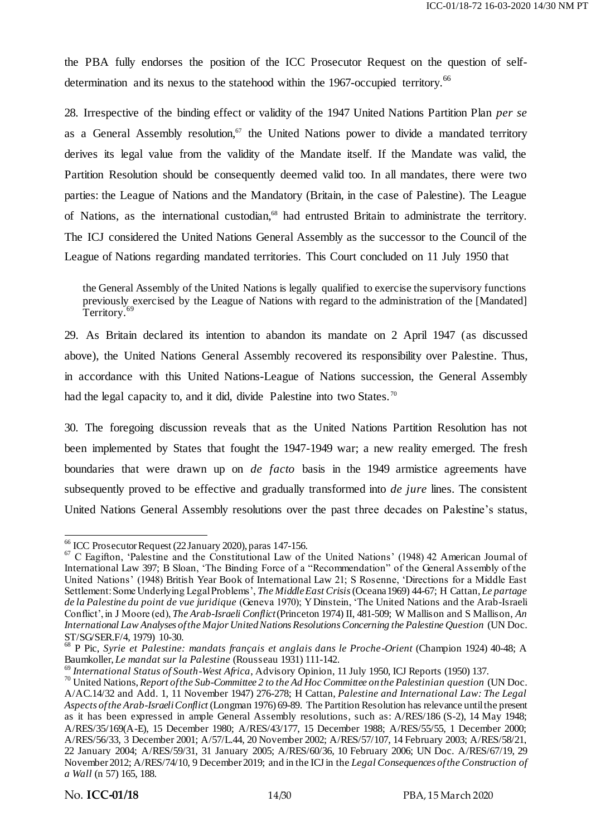the PBA fully endorses the position of the ICC Prosecutor Request on the question of selfdetermination and its nexus to the statehood within the 1967-occupied territory.<sup>66</sup>

28. Irrespective of the binding effect or validity of the 1947 United Nations Partition Plan *per se*  as a General Assembly resolution, $67$  the United Nations power to divide a mandated territory derives its legal value from the validity of the Mandate itself. If the Mandate was valid, the Partition Resolution should be consequently deemed valid too. In all mandates, there were two parties: the League of Nations and the Mandatory (Britain, in the case of Palestine). The League of Nations, as the international custodian,<sup>68</sup> had entrusted Britain to administrate the territory. The ICJ considered the United Nations General Assembly as the successor to the Council of the League of Nations regarding mandated territories. This Court concluded on 11 July 1950 that

the General Assembly of the United Nations is legally qualified to exercise the supervisory functions previously exercised by the League of Nations with regard to the administration of the [Mandated] Territory.<sup>69</sup>

29. As Britain declared its intention to abandon its mandate on 2 April 1947 (as discussed above), the United Nations General Assembly recovered its responsibility over Palestine. Thus, in accordance with this United Nations-League of Nations succession, the General Assembly had the legal capacity to, and it did, divide Palestine into two States.<sup>70</sup>

30. The foregoing discussion reveals that as the United Nations Partition Resolution has not been implemented by States that fought the 1947-1949 war; a new reality emerged. The fresh boundaries that were drawn up on *de facto* basis in the 1949 armistice agreements have subsequently proved to be effective and gradually transformed into *de jure* lines. The consistent United Nations General Assembly resolutions over the past three decades on Palestine's status,

-

<sup>66</sup> ICC Prosecutor Request (22 January 2020), paras 147-156.

 $67$  C Eagifton, 'Palestine and the Constitutional Law of the United Nations' (1948) 42 American Journal of International Law 397; B Sloan, 'The Binding Force of a "Recommendation" of the General Assembly of the United Nations' (1948) British Year Book of International Law 21; S Rosenne, 'Directions for a Middle East Settlement: Some Underlying Legal Problems', *The Middle East Crisis*(Oceana 1969) 44-67; H Cattan, *Le partage de la Palestine du point de vue juridique* (Geneva 1970); Y Dinstein, ‗The United Nations and the Arab-Israeli Conflict', in J Moore (ed), *The Arab-Israeli Conflict*(Princeton 1974) II, 481-509; W Mallison and S Mallison, *An International Law Analyses of the Major United Nations Resolutions Concerning the Palestine Question* (UN Doc. ST/SG/SER.F/4, 1979) 10-30.

<sup>68</sup> P Pic, *Syrie et Palestine: mandats français et anglais dans le Proche-Orient* (Champion 1924) 40-48; A Baumkoller, *Le mandat sur la Palestine* (Rousseau 1931) 111-142.

<sup>69</sup> *International Status of South-West Africa*, Advisory Opinion, 11 July 1950, ICJ Reports (1950) 137.

<sup>70</sup> United Nations, *Report of the Sub-Committee 2 to the Ad Hoc Committee on the Palestinian question* (UN Doc. A/AC.14/32 and Add. 1, 11 November 1947) 276-278; H Cattan, *Palestine and International Law: The Legal Aspects of the Arab-Israeli Conflict* (Longman 1976) 69-89. The Partition Resolution has relevance until the present as it has been expressed in ample General Assembly resolutions, such as: A/RES/186 (S-2), 14 May 1948; A/RES/35/169(A-E), 15 December 1980; A/RES/43/177, 15 December 1988; A/RES/55/55, 1 December 2000; A/RES/56/33, 3 December 2001; A/57/L.44, 20 November 2002; A/RES/57/107, 14 February 2003; A/RES/58/21, 22 January 2004; A/RES/59/31, 31 January 2005; A/RES/60/36, 10 February 2006; UN Doc. A/RES/67/19, 29 November 2012; A/RES/74/10, 9 December 2019; and in the ICJ in the *Legal Consequences of the Construction of a Wall* (n 57) 165, 188.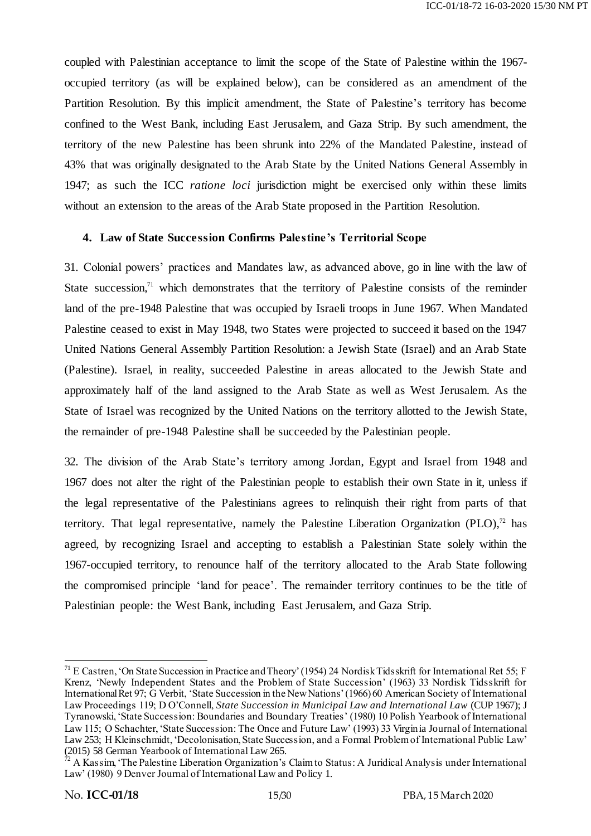coupled with Palestinian acceptance to limit the scope of the State of Palestine within the 1967 occupied territory (as will be explained below), can be considered as an amendment of the Partition Resolution. By this implicit amendment, the State of Palestine's territory has become confined to the West Bank, including East Jerusalem, and Gaza Strip. By such amendment, the territory of the new Palestine has been shrunk into 22% of the Mandated Palestine, instead of 43% that was originally designated to the Arab State by the United Nations General Assembly in 1947; as such the ICC *ratione loci* jurisdiction might be exercised only within these limits without an extension to the areas of the Arab State proposed in the Partition Resolution.

### **4. Law of State Succession Confirms Palestine's Territorial Scope**

31. Colonial powers' practices and Mandates law, as advanced above, go in line with the law of State succession, $71$  which demonstrates that the territory of Palestine consists of the reminder land of the pre-1948 Palestine that was occupied by Israeli troops in June 1967. When Mandated Palestine ceased to exist in May 1948, two States were projected to succeed it based on the 1947 United Nations General Assembly Partition Resolution: a Jewish State (Israel) and an Arab State (Palestine). Israel, in reality, succeeded Palestine in areas allocated to the Jewish State and approximately half of the land assigned to the Arab State as well as West Jerusalem. As the State of Israel was recognized by the United Nations on the territory allotted to the Jewish State, the remainder of pre-1948 Palestine shall be succeeded by the Palestinian people.

32. The division of the Arab State's territory among Jordan, Egypt and Israel from 1948 and 1967 does not alter the right of the Palestinian people to establish their own State in it, unless if the legal representative of the Palestinians agrees to relinquish their right from parts of that territory. That legal representative, namely the Palestine Liberation Organization (PLO),<sup>72</sup> has agreed, by recognizing Israel and accepting to establish a Palestinian State solely within the 1967-occupied territory, to renounce half of the territory allocated to the Arab State following the compromised principle ‗land for peace'. The remainder territory continues to be the title of Palestinian people: the West Bank, including East Jerusalem, and Gaza Strip.

 $71$  E Castren, 'On State Succession in Practice and Theory' (1954) 24 Nordisk Tidsskrift for International Ret 55; F Krenz, ‗Newly Independent States and the Problem of State Succession' (1963) 33 Nordisk Tidsskrift for International Ret 97; G Verbit, 'State Succession in the New Nations' (1966) 60 American Society of International Law Proceedings 119; D O'Connell, *State Succession in Municipal Law and International Law* (CUP 1967); J Tyranowski, ‗State Succession: Boundaries and Boundary Treaties' (1980) 10 Polish Yearbook of International Law 115; O Schachter, 'State Succession: The Once and Future Law' (1993) 33 Virginia Journal of International Law 253; H Kleinschmidt, 'Decolonisation, State Succession, and a Formal Problem of International Public Law' (2015) 58 German Yearbook of International Law 265.

 $72$  A Kassim, 'The Palestine Liberation Organization's Claim to Status: A Juridical Analysis under International Law' (1980) 9 Denver Journal of International Law and Policy 1.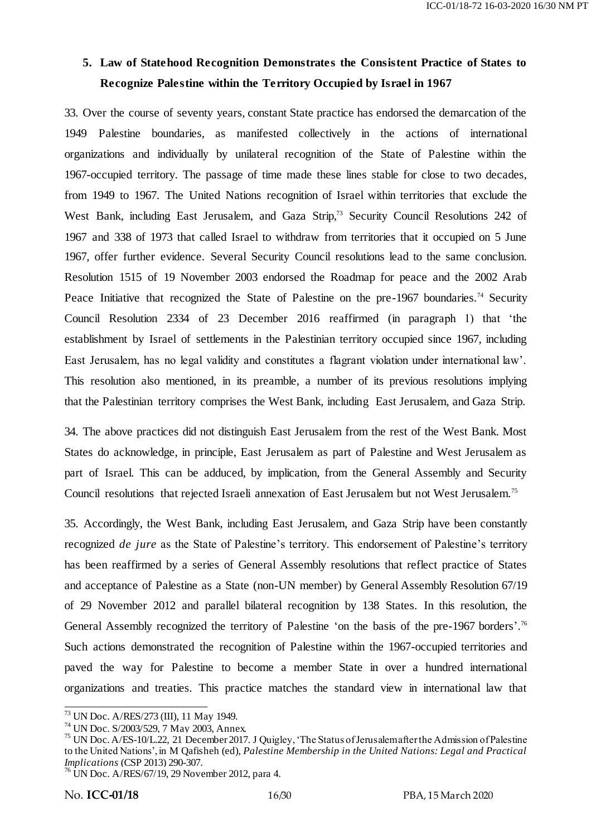# **5. Law of Statehood Recognition Demonstrates the Consistent Practice of States to Recognize Palestine within the Territory Occupied by Israel in 1967**

33. Over the course of seventy years, constant State practice has endorsed the demarcation of the 1949 Palestine boundaries, as manifested collectively in the actions of international organizations and individually by unilateral recognition of the State of Palestine within the 1967-occupied territory. The passage of time made these lines stable for close to two decades, from 1949 to 1967. The United Nations recognition of Israel within territories that exclude the West Bank, including East Jerusalem, and Gaza Strip,<sup>73</sup> Security Council Resolutions 242 of 1967 and 338 of 1973 that called Israel to withdraw from territories that it occupied on 5 June 1967, offer further evidence. Several Security Council resolutions lead to the same conclusion. Resolution 1515 of 19 November 2003 endorsed the Roadmap for peace and the 2002 Arab Peace Initiative that recognized the State of Palestine on the pre-1967 boundaries.<sup>74</sup> Security Council Resolution 2334 of 23 December 2016 reaffirmed (in paragraph 1) that 'the establishment by Israel of settlements in the Palestinian territory occupied since 1967, including East Jerusalem, has no legal validity and constitutes a flagrant violation under international law'. This resolution also mentioned, in its preamble, a number of its previous resolutions implying that the Palestinian territory comprises the West Bank, including East Jerusalem, and Gaza Strip.

34. The above practices did not distinguish East Jerusalem from the rest of the West Bank. Most States do acknowledge, in principle, East Jerusalem as part of Palestine and West Jerusalem as part of Israel. This can be adduced, by implication, from the General Assembly and Security Council resolutions that rejected Israeli annexation of East Jerusalem but not West Jerusalem.<sup>75</sup>

35. Accordingly, the West Bank, including East Jerusalem, and Gaza Strip have been constantly recognized *de jure* as the State of Palestine's territory. This endorsement of Palestine's territory has been reaffirmed by a series of General Assembly resolutions that reflect practice of States and acceptance of Palestine as a State (non-UN member) by General Assembly Resolution 67/19 of 29 November 2012 and parallel bilateral recognition by 138 States. In this resolution, the General Assembly recognized the territory of Palestine 'on the basis of the pre-1967 borders'.<sup>76</sup> Such actions demonstrated the recognition of Palestine within the 1967-occupied territories and paved the way for Palestine to become a member State in over a hundred international organizations and treaties. This practice matches the standard view in international law that

<sup>-</sup><sup>73</sup> UN Doc. A/RES/273 (III), 11 May 1949.

<sup>74</sup> UN Doc. S/2003/529, 7 May 2003, Annex.

<sup>&</sup>lt;sup>75</sup> UN Doc. A/ES-10/L.22, 21 December 2017. J Quigley, 'The Status of Jerusalem after the Admission of Palestine to the United Nations', in M Qafisheh (ed), *Palestine Membership in the United Nations: Legal and Practical Implications* (CSP 2013) 290-307.

 $^{76}$  UN Doc. A/RES/67/19, 29 November 2012, para 4.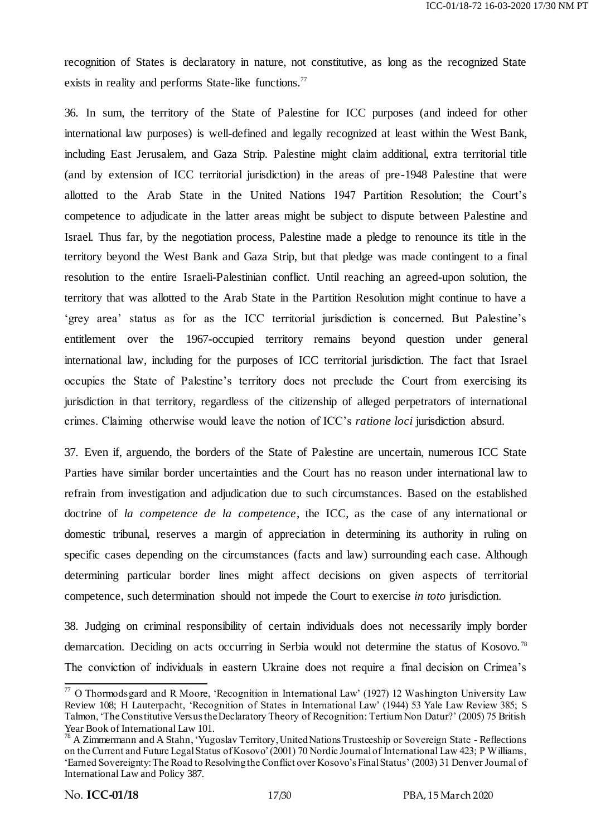recognition of States is declaratory in nature, not constitutive, as long as the recognized State exists in reality and performs State-like functions.<sup>77</sup>

36. In sum, the territory of the State of Palestine for ICC purposes (and indeed for other international law purposes) is well-defined and legally recognized at least within the West Bank, including East Jerusalem, and Gaza Strip. Palestine might claim additional, extra territorial title (and by extension of ICC territorial jurisdiction) in the areas of pre-1948 Palestine that were allotted to the Arab State in the United Nations 1947 Partition Resolution; the Court's competence to adjudicate in the latter areas might be subject to dispute between Palestine and Israel. Thus far, by the negotiation process, Palestine made a pledge to renounce its title in the territory beyond the West Bank and Gaza Strip, but that pledge was made contingent to a final resolution to the entire Israeli-Palestinian conflict. Until reaching an agreed-upon solution, the territory that was allotted to the Arab State in the Partition Resolution might continue to have a ‗grey area' status as for as the ICC territorial jurisdiction is concerned. But Palestine's entitlement over the 1967-occupied territory remains beyond question under general international law, including for the purposes of ICC territorial jurisdiction. The fact that Israel occupies the State of Palestine's territory does not preclude the Court from exercising its jurisdiction in that territory, regardless of the citizenship of alleged perpetrators of international crimes. Claiming otherwise would leave the notion of ICC's *ratione loci* jurisdiction absurd.

37. Even if, arguendo, the borders of the State of Palestine are uncertain, numerous ICC State Parties have similar border uncertainties and the Court has no reason under international law to refrain from investigation and adjudication due to such circumstances. Based on the established doctrine of *la competence de la competence*, the ICC, as the case of any international or domestic tribunal, reserves a margin of appreciation in determining its authority in ruling on specific cases depending on the circumstances (facts and law) surrounding each case. Although determining particular border lines might affect decisions on given aspects of territorial competence, such determination should not impede the Court to exercise *in toto* jurisdiction.

38. Judging on criminal responsibility of certain individuals does not necessarily imply border demarcation. Deciding on acts occurring in Serbia would not determine the status of Kosovo.<sup>78</sup> The conviction of individuals in eastern Ukraine does not require a final decision on Crimea's

 $\overline{\phantom{a}}$  $77$  O Thormodsgard and R Moore, 'Recognition in International Law' (1927) 12 Washington University Law Review 108; H Lauterpacht, 'Recognition of States in International Law' (1944) 53 Yale Law Review 385; S Talmon, ‗The Constitutive Versus the Declaratory Theory of Recognition: Tertium Non Datur?' (2005) 75 British Year Book of International Law 101.

<sup>&</sup>lt;sup>78</sup> A Zimmermann and A Stahn, 'Yugoslav Territory, United Nations Trusteeship or Sovereign State - Reflections on the Current and Future Legal Status of Kosovo' (2001) 70 Nordic Journal of International Law 423; P Williams, ‗Earned Sovereignty: The Road to Resolving the Conflict over Kosovo's Final Status' (2003) 31 Denver Journal of International Law and Policy 387.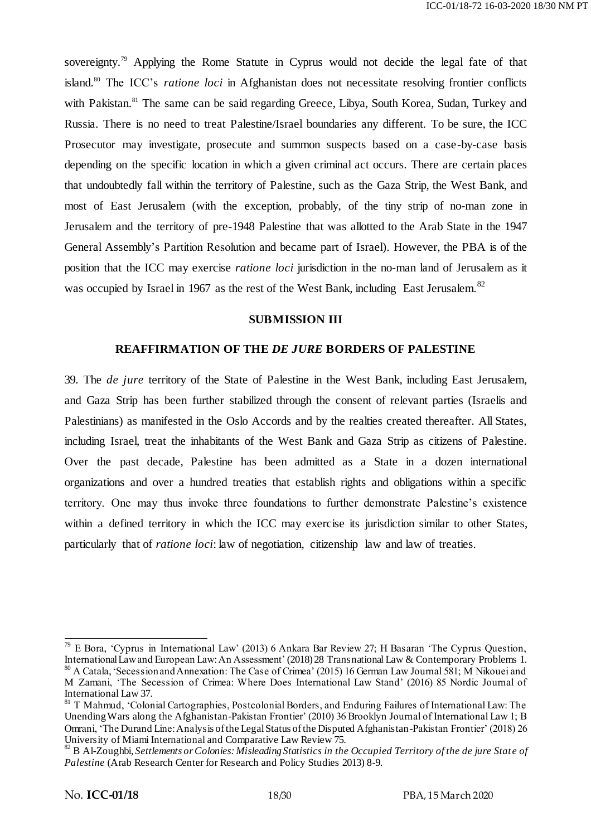sovereignty.<sup>79</sup> Applying the Rome Statute in Cyprus would not decide the legal fate of that island.<sup>80</sup> The ICC's *ratione loci* in Afghanistan does not necessitate resolving frontier conflicts with Pakistan.<sup>81</sup> The same can be said regarding Greece, Libya, South Korea, Sudan, Turkey and Russia. There is no need to treat Palestine/Israel boundaries any different. To be sure, the ICC Prosecutor may investigate, prosecute and summon suspects based on a case-by-case basis depending on the specific location in which a given criminal act occurs. There are certain places that undoubtedly fall within the territory of Palestine, such as the Gaza Strip, the West Bank, and most of East Jerusalem (with the exception, probably, of the tiny strip of no-man zone in Jerusalem and the territory of pre-1948 Palestine that was allotted to the Arab State in the 1947 General Assembly's Partition Resolution and became part of Israel). However, the PBA is of the position that the ICC may exercise *ratione loci* jurisdiction in the no-man land of Jerusalem as it was occupied by Israel in 1967 as the rest of the West Bank, including East Jerusalem.<sup>82</sup>

#### **SUBMISSION III**

#### **REAFFIRMATION OF THE** *DE JURE* **BORDERS OF PALESTINE**

39. The *de jure* territory of the State of Palestine in the West Bank, including East Jerusalem, and Gaza Strip has been further stabilized through the consent of relevant parties (Israelis and Palestinians) as manifested in the Oslo Accords and by the realties created thereafter. All States, including Israel, treat the inhabitants of the West Bank and Gaza Strip as citizens of Palestine. Over the past decade, Palestine has been admitted as a State in a dozen international organizations and over a hundred treaties that establish rights and obligations within a specific territory. One may thus invoke three foundations to further demonstrate Palestine's existence within a defined territory in which the ICC may exercise its jurisdiction similar to other States, particularly that of *ratione loci*: law of negotiation, citizenship law and law of treaties.

 $79$  E Bora, 'Cyprus in International Law' (2013) 6 Ankara Bar Review 27; H Basaran 'The Cyprus Question, International Law and European Law: An Assessment' (2018) 28 Transnational Law & Contemporary Problems 1. <sup>80</sup> A Catala, ‗Secession and Annexation: The Case of Crimea' (2015) 16 German Law Journal 581; M Nikouei and M Zamani, ‗The Secession of Crimea: Where Does International Law Stand' (2016) 85 Nordic Journal of International Law 37.

<sup>&</sup>lt;sup>81</sup> T Mahmud, 'Colonial Cartographies, Postcolonial Borders, and Enduring Failures of International Law: The Unending Wars along the Afghanistan-Pakistan Frontier' (2010) 36 Brooklyn Journal of International Law 1; B Omrani, ‗The Durand Line: Analysis of the Legal Status of the Disputed Afghanistan-Pakistan Frontier' (2018) 26 University of Miami International and Comparative Law Review 75.

<sup>82</sup> B Al-Zoughbi, *Settlements or Colonies: Misleading Statistics in the Occupied Territory of the de jure Stat e of Palestine* (Arab Research Center for Research and Policy Studies 2013) 8-9.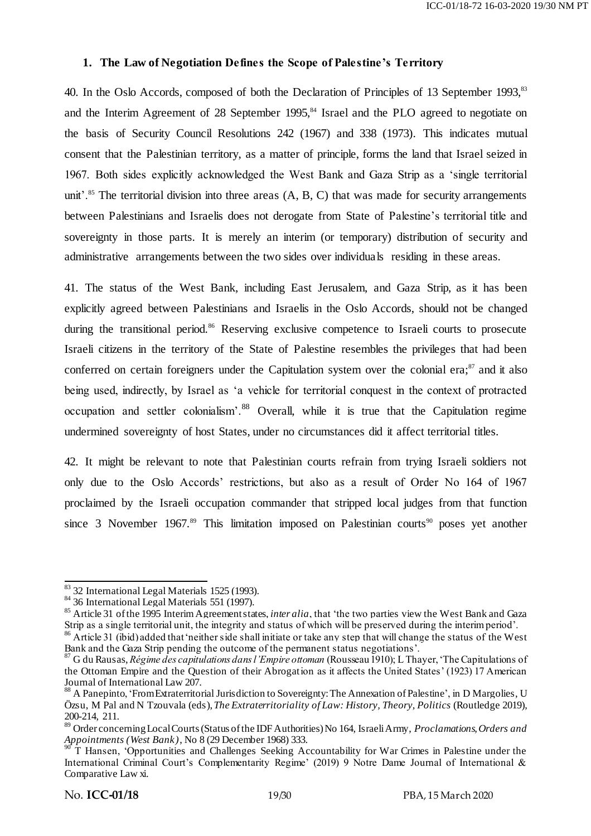#### **1. The Law of Negotiation Defines the Scope of Palestine's Territory**

40. In the Oslo Accords, composed of both the Declaration of Principles of 13 September 1993.<sup>83</sup> and the Interim Agreement of 28 September 1995,<sup>84</sup> Israel and the PLO agreed to negotiate on the basis of Security Council Resolutions 242 (1967) and 338 (1973). This indicates mutual consent that the Palestinian territory, as a matter of principle, forms the land that Israel seized in 1967. Both sides explicitly acknowledged the West Bank and Gaza Strip as a 'single territorial unit'.<sup>85</sup> The territorial division into three areas  $(A, B, C)$  that was made for security arrangements between Palestinians and Israelis does not derogate from State of Palestine's territorial title and sovereignty in those parts. It is merely an interim (or temporary) distribution of security and administrative arrangements between the two sides over individuals residing in these areas.

41. The status of the West Bank, including East Jerusalem, and Gaza Strip, as it has been explicitly agreed between Palestinians and Israelis in the Oslo Accords, should not be changed during the transitional period.<sup>86</sup> Reserving exclusive competence to Israeli courts to prosecute Israeli citizens in the territory of the State of Palestine resembles the privileges that had been conferred on certain foreigners under the Capitulation system over the colonial era;<sup>87</sup> and it also being used, indirectly, by Israel as 'a vehicle for territorial conquest in the context of protracted occupation and settler colonialism'.<sup>88</sup> Overall, while it is true that the Capitulation regime undermined sovereignty of host States, under no circumstances did it affect territorial titles.

42. It might be relevant to note that Palestinian courts refrain from trying Israeli soldiers not only due to the Oslo Accords' restrictions, but also as a result of Order No 164 of 1967 proclaimed by the Israeli occupation commander that stripped local judges from that function since 3 November 1967.<sup>89</sup> This limitation imposed on Palestinian courts<sup>90</sup> poses yet another

<sup>.</sup> <sup>83</sup> 32 International Legal Materials 1525 (1993).

<sup>&</sup>lt;sup>84</sup> 36 International Legal Materials 551 (1997).

<sup>&</sup>lt;sup>85</sup> Article 31 of the 1995 Interim Agreement states, *inter alia*, that 'the two parties view the West Bank and Gaza Strip as a single territorial unit, the integrity and status of which will be preserved during the interim period'.

<sup>&</sup>lt;sup>86</sup> Article 31 (ibid) added that 'neither side shall initiate or take any step that will change the status of the West Bank and the Gaza Strip pending the outcome of the permanent status negotiations'.

<sup>87</sup> G du Rausas, *Régime des capitulations dans l'Empire ottoman* (Rousseau 1910); L Thayer, ‗The Capitulations of the Ottoman Empire and the Question of their Abrogation as it affects the United States' (1923) 17 American Journal of International Law 207.

<sup>&</sup>lt;sup>88</sup> A Panepinto, 'From Extraterritorial Jurisdiction to Sovereignty: The Annexation of Palestine', in D Margolies, U Özsu, M Pal and N Tzouvala (eds), *The Extraterritoriality of Law: History, Theory, Politics* (Routledge 2019), 200-214, 211.

<sup>89</sup> Order concerning Local Courts (Status of the IDF Authorities) No 164, Israeli Army, *Proclamations, Orders and Appointments (West Bank)*, No 8 (29 December 1968) 333.

 $90$ <sup>T</sup> T Hansen, *Opportunities and Challenges Seeking Accountability for War Crimes in Palestine under the* International Criminal Court's Complementarity Regime' (2019) 9 Notre Dame Journal of International & Comparative Law xi.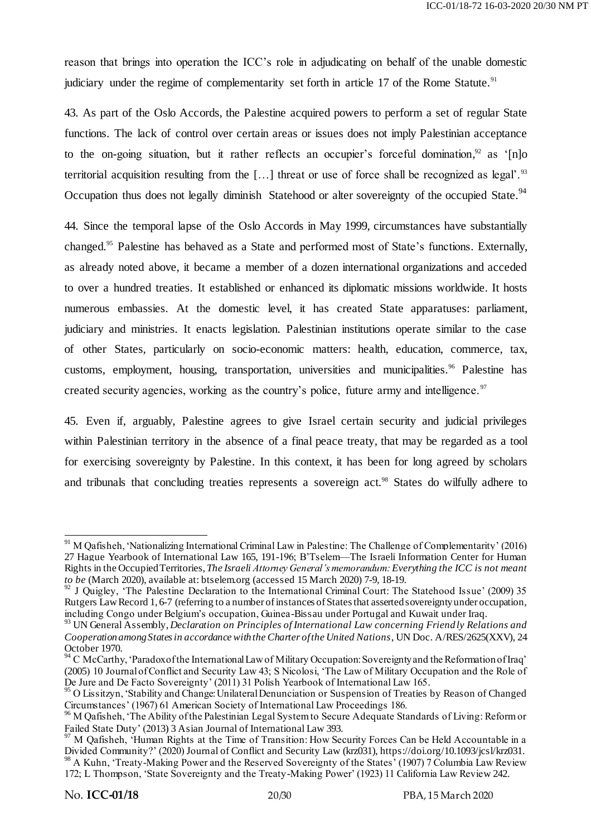reason that brings into operation the ICC's role in adjudicating on behalf of the unable domestic judiciary under the regime of complementarity set forth in article 17 of the Rome Statute.<sup>91</sup>

43. As part of the Oslo Accords, the Palestine acquired powers to perform a set of regular State functions. The lack of control over certain areas or issues does not imply Palestinian acceptance to the on-going situation, but it rather reflects an occupier's forceful domination,<sup>92</sup> as '[n]o territorial acquisition resulting from the [...] threat or use of force shall be recognized as legal'.<sup>93</sup> Occupation thus does not legally diminish Statehood or alter sovereignty of the occupied State.<sup>94</sup>

44. Since the temporal lapse of the Oslo Accords in May 1999, circumstances have substantially changed.<sup>95</sup> Palestine has behaved as a State and performed most of State's functions. Externally, as already noted above, it became a member of a dozen international organizations and acceded to over a hundred treaties. It established or enhanced its diplomatic missions worldwide. It hosts numerous embassies. At the domestic level, it has created State apparatuses: parliament, judiciary and ministries. It enacts legislation. Palestinian institutions operate similar to the case of other States, particularly on socio-economic matters: health, education, commerce, tax, customs, employment, housing, transportation, universities and municipalities.<sup>96</sup> Palestine has created security agencies, working as the country's police, future army and intelligence.<sup>97</sup>

45. Even if, arguably, Palestine agrees to give Israel certain security and judicial privileges within Palestinian territory in the absence of a final peace treaty, that may be regarded as a tool for exercising sovereignty by Palestine. In this context, it has been for long agreed by scholars and tribunals that concluding treaties represents a sovereign act. <sup>98</sup> States do wilfully adhere to

-

<sup>&</sup>lt;sup>91</sup> M Qafisheh, 'Nationalizing International Criminal Law in Palestine: The Challenge of Complementarity' (2016) 27 Hague Yearbook of International Law 165, 191-196; B'Tselem—The Israeli Information Center for Human Rights in the Occupied Territories,*The Israeli Attorney General's memorandum: Everything the ICC is not meant to be* (March 2020), available at: btselem.org (accessed 15 March 2020) 7-9, 18-19.

<sup>&</sup>lt;sup>92</sup> J Quigley, 'The Palestine Declaration to the International Criminal Court: The Statehood Issue' (2009) 35 Rutgers Law Record 1, 6-7 (referring to a number of instances of States that asserted sovereignty under occupation, including Congo under Belgium's occupation, Guinea-Bissau under Portugal and Kuwait under Iraq.

<sup>93</sup> UN General Assembly, *Declaration on Principles of International Law concerning Friendly Relations and Cooperation among States in accordance with the Charter of the United Nations*, UN Doc. A/RES/2625(XXV), 24 October 1970.

 $94$  C McCarthy, 'Paradox of the International Law of Military Occupation: Sovereignty and the Reformation of Iraq' (2005) 10 Journal of Conflict and Security Law 43; S Nicolosi, ‗The Law of Military Occupation and the Role of De Jure and De Facto Sovereignty' (2011) 31 Polish Yearbook of International Law 165.

<sup>&</sup>lt;sup>95</sup> O Lissitzyn, 'Stability and Change: Unilateral Denunciation or Suspension of Treaties by Reason of Changed Circumstances' (1967) 61 American Society of International Law Proceedings 186.

<sup>&</sup>lt;sup>96</sup> M Qafisheh, 'The Ability of the Palestinian Legal System to Secure Adequate Standards of Living: Reform or Failed State Duty' (2013) 3 Asian Journal of International Law 393.

<sup>&</sup>lt;sup>97</sup> M Qafisheh, 'Human Rights at the Time of Transition: How Security Forces Can be Held Accountable in a Divided Community?' (2020) Journal of Conflict and Security Law (krz031), [https://doi.org/10.1093/jcsl/krz03](https://doi.org/10.1093/jcsl/krz031)1. <sup>98</sup> A Kuhn, 'Treaty-Making Power and the Reserved Sovereignty of the States' (1907) 7 Columbia Law Review 172; L Thompson, 'State Sovereignty and the Treaty-Making Power' (1923) 11 California Law Review 242.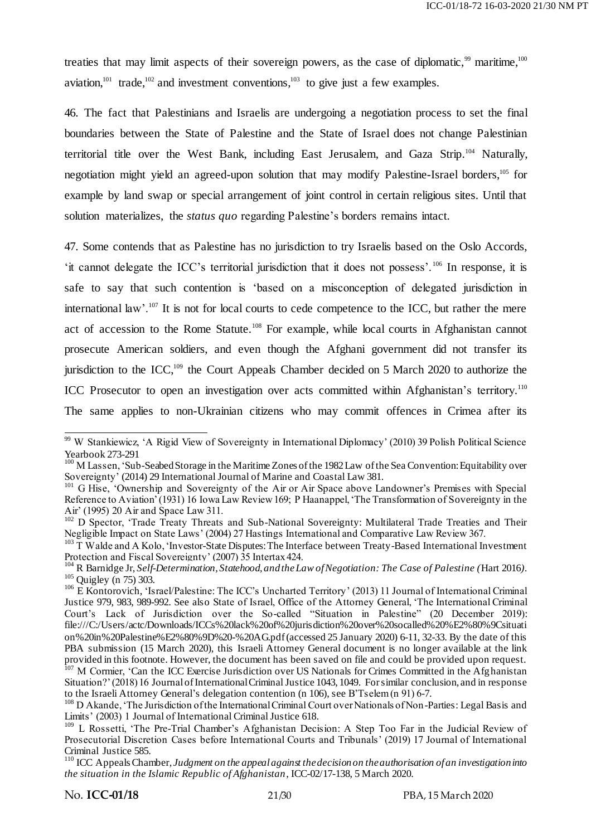treaties that may limit aspects of their sovereign powers, as the case of diplomatic, $99$  maritime, $100$ aviation,  $101$  trade,  $102$  and investment conventions,  $103$  to give just a few examples.

46. The fact that Palestinians and Israelis are undergoing a negotiation process to set the final boundaries between the State of Palestine and the State of Israel does not change Palestinian territorial title over the West Bank, including East Jerusalem, and Gaza Strip. <sup>104</sup> Naturally, negotiation might yield an agreed-upon solution that may modify Palestine-Israel borders,<sup>105</sup> for example by land swap or special arrangement of joint control in certain religious sites. Until that solution materializes, the *status quo* regarding Palestine's borders remains intact.

47. Some contends that as Palestine has no jurisdiction to try Israelis based on the Oslo Accords, ‗it cannot delegate the ICC's territorial jurisdiction that it does not possess'. <sup>106</sup> In response, it is safe to say that such contention is 'based on a misconception of delegated jurisdiction in international law'.<sup>107</sup> It is not for local courts to cede competence to the ICC, but rather the mere act of accession to the Rome Statute.<sup>108</sup> For example, while local courts in Afghanistan cannot prosecute American soldiers, and even though the Afghani government did not transfer its jurisdiction to the ICC,<sup>109</sup> the Court Appeals Chamber decided on 5 March 2020 to authorize the ICC Prosecutor to open an investigation over acts committed within Afghanistan's territory.<sup>110</sup> The same applies to non-Ukrainian citizens who may commit offences in Crimea after its

 <sup>99</sup> W Stankiewicz, 'A Rigid View of Sovereignty in International Diplomacy' (2010) 39 Polish Political Science Yearbook 273-291

<sup>&</sup>lt;sup>100</sup> M Lassen, 'Sub-Seabed Storage in the Maritime Zones of the 1982 Law of the Sea Convention: Equitability over Sovereignty' (2014) 29 International Journal of Marine and Coastal Law 381.

<sup>&</sup>lt;sup>101</sup> G Hise, 'Ownership and Sovereignty of the Air or Air Space above Landowner's Premises with Special Reference to Aviation' (1931) 16 Iowa Law Review 169; P Haanappel, ‗The Transformation of Sovereignty in the Air' (1995) 20 Air and Space Law 311.

<sup>&</sup>lt;sup>102</sup> D Spector, 'Trade Treaty Threats and Sub-National Sovereignty: Multilateral Trade Treaties and Their Negligible Impact on State Laws' (2004) 27 Hastings International and Comparative Law Review 367.

<sup>&</sup>lt;sup>103</sup> T Walde and A Kolo, 'Investor-State Disputes: The Interface between Treaty-Based International Investment Protection and Fiscal Sovereignty' (2007) 35 Intertax 424.

<sup>104</sup> R Barnidge Jr, *Self-Determination, Statehood, and theLaw of Negotiation: The Case of Palestine (*Hart 2016*).*  $105$  Ouigley (n 75) 303.

<sup>&</sup>lt;sup>106</sup> E Kontorovich, 'Israel/Palestine: The ICC's Uncharted Territory' (2013) 11 Journal of International Criminal Justice 979, 983, 989-992. See also State of Israel, Office of the Attorney General, ‗The International Criminal Court's Lack of Jurisdiction over the So-called "Situation in Palestine" (20 December 2019): [file:///C:/Users/actc/Downloads/ICCs%20lack%20of%20jurisdiction%20over%20socalled%20%E2%80%9Csituati](file:///C:/Users/actc/Downloads/ICCs%20lack%20of%20jurisdiction%20over%20socalled%20âsituation%20in%20Palestineâ%20-%20AG.pdf) [on%20in%20Palestine%E2%80%9D%20-%20AG.pdf](file:///C:/Users/actc/Downloads/ICCs%20lack%20of%20jurisdiction%20over%20socalled%20âsituation%20in%20Palestineâ%20-%20AG.pdf)(accessed 25 January 2020) 6-11, 32-33. By the date of this PBA submission (15 March 2020), this Israeli Attorney General document is no longer available at the link provided in this footnote. However, the document has been saved on file and could be provided upon request. <sup>107</sup> M Cormier, 'Can the ICC Exercise Jurisdiction over US Nationals for Crimes Committed in the Afghanistan Situation?' (2018) 16 Journal of International Criminal Justice 1043, 1049. Forsimilar conclusion, and in response to the Israeli Attorney General's delegation contention (n 106), see B'Tselem (n 91) 6-7.

<sup>&</sup>lt;sup>108</sup> D Akande, 'The Jurisdiction of the International Criminal Court over Nationals of Non-Parties: Legal Basis and Limits' (2003) 1 Journal of International Criminal Justice 618.

<sup>&</sup>lt;sup>109</sup> L Rossetti, 'The Pre-Trial Chamber's Afghanistan Decision: A Step Too Far in the Judicial Review of Prosecutorial Discretion Cases before International Courts and Tribunals' (2019) 17 Journal of International Criminal Justice 585.

<sup>110</sup> ICC Appeals Chamber, *Judgment on the appeal against the decision on the authorisation of an investigation into the situation in the Islamic Republic of Afghanistan*, ICC-02/17-138, 5 March 2020.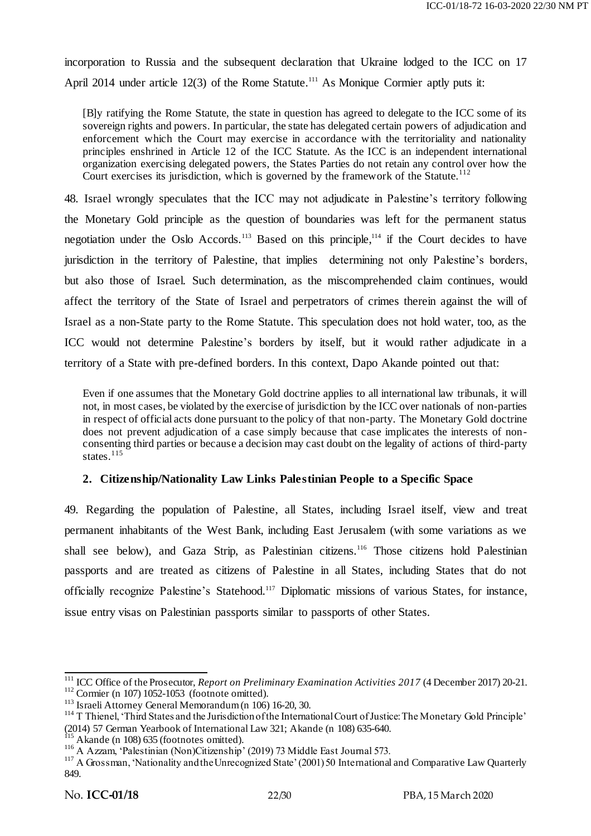incorporation to Russia and the subsequent declaration that Ukraine lodged to the ICC on 17 April 2014 under article 12(3) of the Rome Statute.<sup>111</sup> As Monique Cormier aptly puts it:

[B]y ratifying the Rome Statute, the state in question has agreed to delegate to the ICC some of its sovereign rights and powers. In particular, the state has delegated certain powers of adjudication and enforcement which the Court may exercise in accordance with the territoriality and nationality principles enshrined in Article 12 of the ICC Statute. As the ICC is an independent international organization exercising delegated powers, the States Parties do not retain any control over how the Court exercises its jurisdiction, which is governed by the framework of the Statute.<sup>112</sup>

48. Israel wrongly speculates that the ICC may not adjudicate in Palestine's territory following the Monetary Gold principle as the question of boundaries was left for the permanent status negotiation under the Oslo Accords.<sup>113</sup> Based on this principle,<sup>114</sup> if the Court decides to have jurisdiction in the territory of Palestine, that implies determining not only Palestine's borders, but also those of Israel. Such determination, as the miscomprehended claim continues, would affect the territory of the State of Israel and perpetrators of crimes therein against the will of Israel as a non-State party to the Rome Statute. This speculation does not hold water, too, as the ICC would not determine Palestine's borders by itself, but it would rather adjudicate in a territory of a State with pre-defined borders. In this context, Dapo Akande pointed out that:

Even if one assumes that the Monetary Gold doctrine applies to all international law tribunals, it will not, in most cases, be violated by the exercise of jurisdiction by the ICC over nationals of non-parties in respect of official acts done pursuant to the policy of that non-party. The Monetary Gold doctrine does not prevent adjudication of a case simply because that case implicates the interests of nonconsenting third parties or because a decision may cast doubt on the legality of actions of third-party states.<sup>115</sup>

## **2. Citizenship/Nationality Law Links Palestinian People to a Specific Space**

49. Regarding the population of Palestine, all States, including Israel itself, view and treat permanent inhabitants of the West Bank, including East Jerusalem (with some variations as we shall see below), and Gaza Strip, as Palestinian citizens.<sup>116</sup> Those citizens hold Palestinian passports and are treated as citizens of Palestine in all States, including States that do not officially recognize Palestine's Statehood.<sup>117</sup> Diplomatic missions of various States, for instance, issue entry visas on Palestinian passports similar to passports of other States.

 <sup>111</sup> ICC Office of the Prosecutor, *Report on Preliminary Examination Activities 2017* (4 December 2017) 20-21.  $112$  Cormier (n 107) 1052-1053 (footnote omitted).

<sup>113</sup> Israeli Attorney General Memorandum (n 106) 16-20, 30.

<sup>&</sup>lt;sup>114</sup> T Thienel, 'Third States and the Jurisdiction of the International Court of Justice: The Monetary Gold Principle' (2014) 57 German Yearbook of International Law 321; Akande (n 108) 635-640.

 $115$  Akande (n 108) 635 (footnotes omitted).

<sup>&</sup>lt;sup>116</sup> A Azzam, 'Palestinian (Non)Citizenship' (2019) 73 Middle East Journal 573.

<sup>&</sup>lt;sup>117</sup> A Grossman, 'Nationality and the Unrecognized State' (2001) 50 International and Comparative Law Quarterly 849.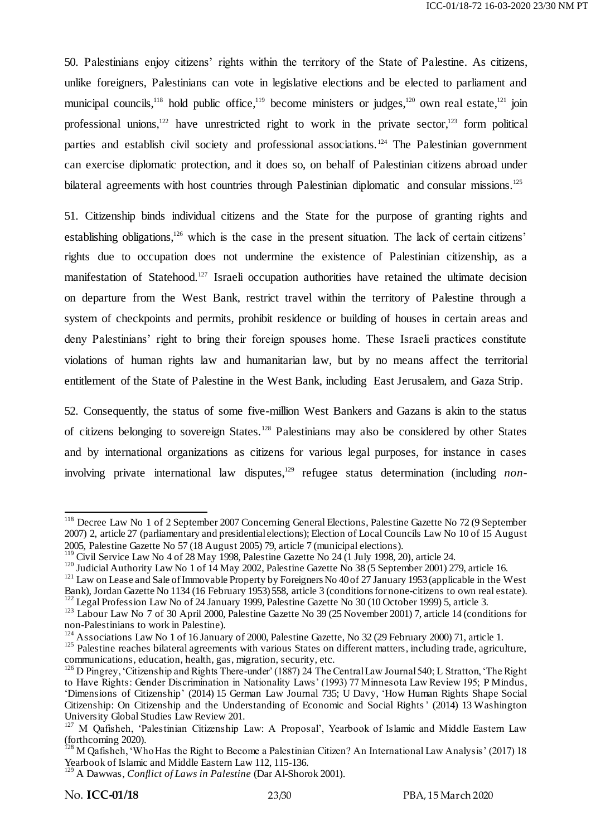50. Palestinians enjoy citizens' rights within the territory of the State of Palestine. As citizens, unlike foreigners, Palestinians can vote in legislative elections and be elected to parliament and municipal councils,<sup>118</sup> hold public office,<sup>119</sup> become ministers or judges,<sup>120</sup> own real estate,<sup>121</sup> join professional unions,<sup>122</sup> have unrestricted right to work in the private sector,<sup>123</sup> form political parties and establish civil society and professional associations.<sup>124</sup> The Palestinian government can exercise diplomatic protection, and it does so, on behalf of Palestinian citizens abroad under bilateral agreements with host countries through Palestinian diplomatic and consular missions.<sup>125</sup>

51. Citizenship binds individual citizens and the State for the purpose of granting rights and establishing obligations,<sup>126</sup> which is the case in the present situation. The lack of certain citizens' rights due to occupation does not undermine the existence of Palestinian citizenship, as a manifestation of Statehood.<sup>127</sup> Israeli occupation authorities have retained the ultimate decision on departure from the West Bank, restrict travel within the territory of Palestine through a system of checkpoints and permits, prohibit residence or building of houses in certain areas and deny Palestinians' right to bring their foreign spouses home. These Israeli practices constitute violations of human rights law and humanitarian law, but by no means affect the territorial entitlement of the State of Palestine in the West Bank, including East Jerusalem, and Gaza Strip.

52. Consequently, the status of some five-million West Bankers and Gazans is akin to the status of citizens belonging to sovereign States.<sup>128</sup> Palestinians may also be considered by other States and by international organizations as citizens for various legal purposes, for instance in cases involving private international law disputes,<sup>129</sup> refugee status determination (including *non-*

-

<sup>&</sup>lt;sup>118</sup> Decree Law No 1 of 2 September 2007 Concerning General Elections, Palestine Gazette No 72 (9 September 2007) 2, article 27 (parliamentary and presidential elections); Election of Local Councils Law No 10 of 15 August 2005, Palestine Gazette No 57 (18 August 2005) 79, article 7 (municipal elections).

 $119$  Civil Service Law No 4 of 28 May 1998, Palestine Gazette No 24 (1 July 1998, 20), article 24.

<sup>&</sup>lt;sup>120</sup> Judicial Authority Law No 1 of 14 May 2002, Palestine Gazette No 38 (5 September 2001) 279, article 16.

<sup>&</sup>lt;sup>121</sup> Law on Lease and Sale of Immovable Property by Foreigners No 40 of  $27$  January 1953 (applicable in the West Bank), Jordan Gazette No 1134 (16 February 1953) 558, article 3 (conditions for none-citizens to own real estate). <sup>122</sup> Legal Profession Law No of 24 January 1999, Palestine Gazette No 30 (10 October 1999) 5, article 3.

<sup>&</sup>lt;sup>123</sup> Labour Law No 7 of 30 April 2000, Palestine Gazette No 39 (25 November 2001) 7, article 14 (conditions for non-Palestinians to work in Palestine).

<sup>&</sup>lt;sup>124</sup> Associations Law No 1 of 16 January of 2000, Palestine Gazette, No 32 (29 February 2000) 71, article 1.

<sup>&</sup>lt;sup>125</sup> Palestine reaches bilateral agreements with various States on different matters, including trade, agriculture, communications, education, health, gas, migration, security, etc.

<sup>&</sup>lt;sup>126</sup> D Pingrey, 'Citizenship and Rights There-under' (1887) 24 The Central Law Journal 540; L Stratton, 'The Right to Have Rights: Gender Discrimination in Nationality Laws' (1993) 77 Minnesota Law Review 195; P Mindus, ‗Dimensions of Citizenship' (2014) 15 German Law Journal 735; U Davy, ‗How Human Rights Shape Social Citizenship: On Citizenship and the Understanding of Economic and Social Rights' (2014) 13 Washington University Global Studies Law Review 201.

<sup>&</sup>lt;sup>127</sup> M Qafisheh, 'Palestinian Citizenship Law: A Proposal', Yearbook of Islamic and Middle Eastern Law (forthcoming 2020).

<sup>&</sup>lt;sup>128</sup> M Qafisheh, 'Who Has the Right to Become a Palestinian Citizen? An International Law Analysis' (2017) 18 Yearbook of Islamic and Middle Eastern Law 112, 115-136.

<sup>129</sup> A Dawwas, *Conflict of Laws in Palestine* (Dar Al-Shorok 2001).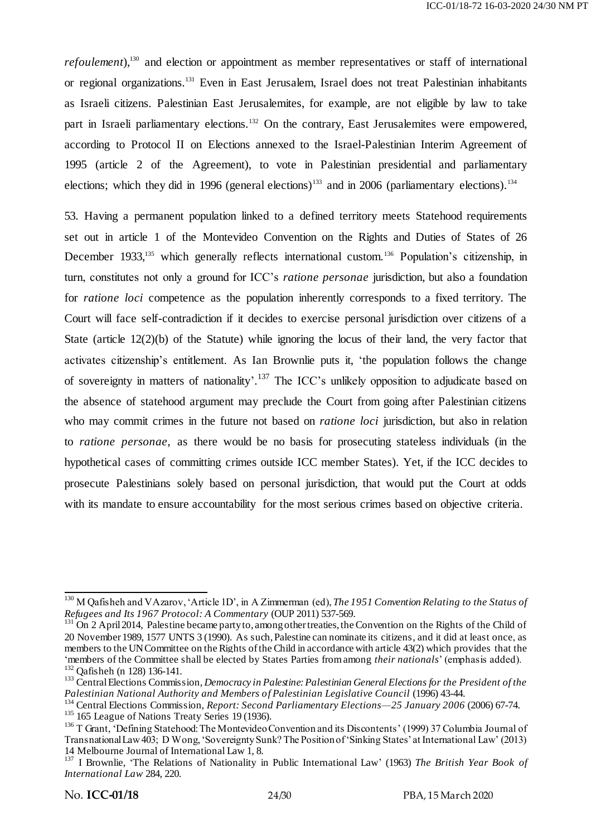*refoulement*),<sup>130</sup> and election or appointment as member representatives or staff of international or regional organizations.<sup>131</sup> Even in East Jerusalem, Israel does not treat Palestinian inhabitants as Israeli citizens. Palestinian East Jerusalemites, for example, are not eligible by law to take part in Israeli parliamentary elections.<sup>132</sup> On the contrary, East Jerusalemites were empowered, according to Protocol II on Elections annexed to the Israel-Palestinian Interim Agreement of 1995 (article 2 of the Agreement), to vote in Palestinian presidential and parliamentary elections; which they did in 1996 (general elections)<sup>133</sup> and in 2006 (parliamentary elections).<sup>134</sup>

53. Having a permanent population linked to a defined territory meets Statehood requirements set out in article 1 of the Montevideo Convention on the Rights and Duties of States of 26 December 1933,<sup>135</sup> which generally reflects international custom.<sup>136</sup> Population's citizenship, in turn, constitutes not only a ground for ICC's *ratione personae* jurisdiction, but also a foundation for *ratione loci* competence as the population inherently corresponds to a fixed territory. The Court will face self-contradiction if it decides to exercise personal jurisdiction over citizens of a State (article  $12(2)(b)$  of the Statute) while ignoring the locus of their land, the very factor that activates citizenship's entitlement. As Ian Brownlie puts it, 'the population follows the change of sovereignty in matters of nationality'.<sup>137</sup> The ICC's unlikely opposition to adjudicate based on the absence of statehood argument may preclude the Court from going after Palestinian citizens who may commit crimes in the future not based on *ratione loci* jurisdiction, but also in relation to *ratione personae,* as there would be no basis for prosecuting stateless individuals (in the hypothetical cases of committing crimes outside ICC member States). Yet, if the ICC decides to prosecute Palestinians solely based on personal jurisdiction, that would put the Court at odds with its mandate to ensure accountability for the most serious crimes based on objective criteria.

<sup>.</sup> <sup>130</sup> M Qafisheh and V Azarov, 'Article 1D', in A Zimmerman (ed), *The 1951 Convention Relating to the Status of Refugees and Its 1967 Protocol: A Commentary* (OUP 2011) 537-569.

 $^{131}$  On 2 April 2014, Palestine became party to, among other treaties, the Convention on the Rights of the Child of 20 November 1989, 1577 UNTS 3 (1990). As such, Palestine can nominate its citizens, and it did at least once, as members to the UN Committee on the Rights of the Child in accordance with article 43(2) which provides that the ‗members of the Committee shall be elected by States Parties from among *their nationals*' (emphasis added). <sup>132</sup> Qafisheh (n 128) 136-141.

<sup>133</sup> Central Elections Commission, *Democracy in Palestine: Palestinian General Elections for the President of the Palestinian National Authority and Members of Palestinian Legislative Council* (1996) 43-44.

<sup>134</sup> Central Elections Commission, *Report: Second Parliamentary Elections—25 January 2006* (2006) 67-74. <sup>135</sup> 165 League of Nations Treaty Series 19 (1936).

<sup>&</sup>lt;sup>136</sup> T Grant, 'Defining Statehood: The Montevideo Convention and its Discontents' (1999) 37 Columbia Journal of Transnational Law 403; D Wong, 'Sovereignty Sunk? The Position of 'Sinking States' at International Law' (2013) 14 Melbourne Journal of International Law 1, 8.

<sup>&</sup>lt;sup>137</sup> I Brownlie, 'The Relations of Nationality in Public International Law' (1963) *The British Year Book of International Law* 284, 220.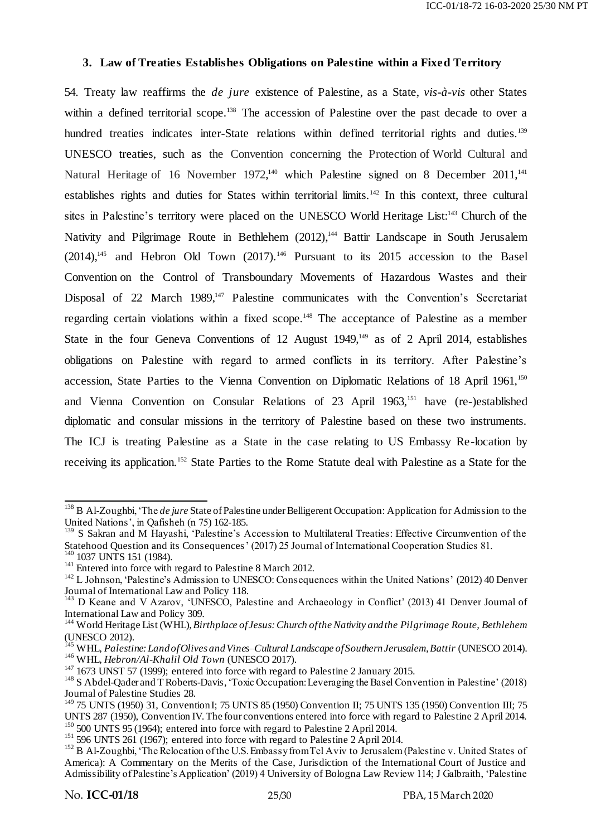#### **3. Law of Treaties Establishes Obligations on Palestine within a Fixed Territory**

54. Treaty law reaffirms the *de jure* existence of Palestine, as a State, *vis-à-vis* other States within a defined territorial scope.<sup>138</sup> The accession of Palestine over the past decade to over a hundred treaties indicates inter-State relations within defined territorial rights and duties.<sup>139</sup> UNESCO treaties, such as the Convention concerning the Protection of World Cultural and Natural Heritage of 16 November 1972,<sup>140</sup> which Palestine signed on 8 December 2011,<sup>141</sup> establishes rights and duties for States within territorial limits.<sup>142</sup> In this context, three cultural sites in Palestine's territory were placed on the UNESCO World Heritage List:<sup>143</sup> Church of the Nativity and Pilgrimage Route in Bethlehem (2012),<sup>144</sup> Battir Landscape in South Jerusalem  $(2014)$ ,<sup>145</sup> and Hebron Old Town  $(2017)$ .<sup>146</sup> Pursuant to its 2015 accession to the Basel Convention on the Control of Transboundary Movements of Hazardous Wastes and their Disposal of 22 March 1989,<sup>147</sup> Palestine communicates with the Convention's Secretariat regarding certain violations within a fixed scope. <sup>148</sup> The acceptance of Palestine as a member State in the four Geneva Conventions of 12 August  $1949<sup>149</sup>$  as of 2 April 2014, establishes obligations on Palestine with regard to armed conflicts in its territory. After Palestine's accession, State Parties to the Vienna Convention on Diplomatic Relations of 18 April 1961,<sup>150</sup> and Vienna Convention on Consular Relations of 23 April 1963,<sup>151</sup> have (re-)established diplomatic and consular missions in the territory of Palestine based on these two instruments. The ICJ is treating Palestine as a State in the case relating to US Embassy Re-location by receiving its application.<sup>152</sup> State Parties to the Rome Statute deal with Palestine as a State for the

 $\overline{\phantom{a}}$ <sup>138</sup> B Al-Zoughbi, ‗The *de jure* State of Palestine under Belligerent Occupation: Application for Admission to the United Nations', in Qafisheh (n 75) 162-185.

<sup>&</sup>lt;sup>139</sup> S Sakran and M Hayashi, 'Palestine's Accession to Multilateral Treaties: Effective Circumvention of the Statehood Question and its Consequences' (2017) 25 Journal of International Cooperation Studies 81. <sup>140</sup> 1037 UNTS 151 (1984).

<sup>&</sup>lt;sup>141</sup> Entered into force with regard to Palestine 8 March 2012.

<sup>&</sup>lt;sup>142</sup> L Johnson, 'Palestine's Admission to UNESCO: Consequences within the United Nations' (2012) 40 Denver Journal of International Law and Policy 118.

<sup>&</sup>lt;sup>143</sup> D Keane and V Azarov, 'UNESCO, Palestine and Archaeology in Conflict' (2013) 41 Denver Journal of International Law and Policy 309.

<sup>144</sup> World Heritage List (WHL), *Birthplace of Jesus: Church of the Nativity and the Pilgrimage Route, Bethlehem* (UNESCO 2012).

<sup>145</sup> WHL, *Palestine: Land of Olives and Vines–Cultural Landscape of Southern Jerusalem, Battir* (UNESCO 2014). <sup>146</sup> WHL, *Hebron/Al-Khalil Old Town* (UNESCO 2017).

 $147$  1673 UNST 57 (1999); entered into force with regard to Palestine 2 January 2015.

<sup>&</sup>lt;sup>148</sup> S Abdel-Qader and T Roberts-Davis, 'Toxic Occupation: Leveraging the Basel Convention in Palestine' (2018) Journal of Palestine Studies 28.

<sup>&</sup>lt;sup>149</sup> 75 UNTS (1950) 31, Convention I; 75 UNTS 85 (1950) Convention II; 75 UNTS 135 (1950) Convention III; 75 UNTS 287 (1950), Convention IV. The four conventions entered into force with regard to Palestine 2 April 2014.  $150$  500 UNTS 95 (1964); entered into force with regard to Palestine 2 April 2014.

<sup>&</sup>lt;sup>151</sup> 596 UNTS 261 (1967); entered into force with regard to Palestine 2 April 2014.

<sup>&</sup>lt;sup>152</sup> B Al-Zoughbi, 'The Relocation of the U.S. Embassy from Tel Aviv to Jerusalem (Palestine v. United States of America): A Commentary on the Merits of the Case, Jurisdiction of the International Court of Justice and Admissibility of Palestine's Application' (2019) 4 University of Bologna Law Review 114; J Galbraith, 'Palestine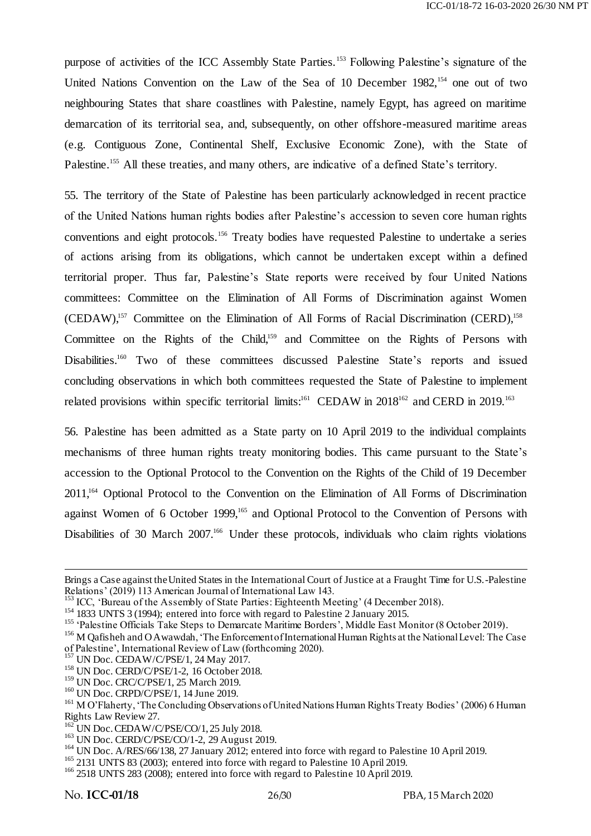purpose of activities of the ICC Assembly State Parties. <sup>153</sup> Following Palestine's signature of the United Nations Convention on the Law of the Sea of 10 December 1982,<sup>154</sup> one out of two neighbouring States that share coastlines with Palestine, namely Egypt, has agreed on maritime demarcation of its territorial sea, and, subsequently, on other offshore-measured maritime areas (e.g. Contiguous Zone, Continental Shelf, Exclusive Economic Zone), with the State of Palestine.<sup>155</sup> All these treaties, and many others, are indicative of a defined State's territory.

55. The territory of the State of Palestine has been particularly acknowledged in recent practice of the United Nations human rights bodies after Palestine's accession to seven core human rights conventions and eight protocols.<sup>156</sup> Treaty bodies have requested Palestine to undertake a series of actions arising from its obligations, which cannot be undertaken except within a defined territorial proper. Thus far, Palestine's State reports were received by four United Nations committees: Committee on the Elimination of All Forms of Discrimination against Women  $(CEDAW)$ ,<sup>157</sup> Committee on the Elimination of All Forms of Racial Discrimination  $(CERD)$ ,<sup>158</sup> Committee on the Rights of the Child,<sup>159</sup> and Committee on the Rights of Persons with Disabilities.<sup>160</sup> Two of these committees discussed Palestine State's reports and issued concluding observations in which both committees requested the State of Palestine to implement related provisions within specific territorial limits:<sup>161</sup> CEDAW in 2018<sup>162</sup> and CERD in 2019.<sup>163</sup>

56. Palestine has been admitted as a State party on 10 April 2019 to the individual complaints mechanisms of three human rights treaty monitoring bodies. This came pursuant to the State's accession to the Optional Protocol to the Convention on the Rights of the Child of 19 December 2011,<sup>164</sup> Optional Protocol to the Convention on the Elimination of All Forms of Discrimination against Women of 6 October 1999,<sup>165</sup> and Optional Protocol to the Convention of Persons with Disabilities of 30 March 2007.<sup>166</sup> Under these protocols, individuals who claim rights violations

Brings a Case against the United States in the International Court of Justice at a Fraught Time for U.S.-Palestine Relations' (2019) 113 American Journal of International Law 143.

<sup>&</sup>lt;sup>153</sup> ICC, 'Bureau of the Assembly of State Parties: Eighteenth Meeting' (4 December 2018).

<sup>&</sup>lt;sup>154</sup> 1833 UNTS 3 (1994); entered into force with regard to Palestine 2 January 2015.

<sup>&</sup>lt;sup>155</sup> Palestine Officials Take Steps to Demarcate Maritime Borders', Middle East Monitor (8 October 2019).

<sup>&</sup>lt;sup>156</sup> M Qafisheh and O Awawdah, 'The Enforcement of International Human Rights at the National Level: The Case of Palestine', International Review of Law (forthcoming 2020).

<sup>&</sup>lt;sup>157</sup> UN Doc. CEDAW/C/PSE/1, 24 May 2017.

<sup>158</sup> UN Doc. CERD/C/PSE/1-2, 16 October 2018.

<sup>&</sup>lt;sup>159</sup> UN Doc. CRC/C/PSE/1, 25 March 2019.

<sup>&</sup>lt;sup>160</sup> UN Doc. CRPD/C/PSE/1, 14 June 2019.

<sup>&</sup>lt;sup>161</sup> M O'Flaherty, 'The Concluding Observations of United Nations Human Rights Treaty Bodies' (2006) 6 Human Rights Law Review 27.

 $162$  UN Doc. CEDAW/C/PSE/CO/1, 25 July 2018.

<sup>&</sup>lt;sup>163</sup> UN Doc. CERD/C/PSE/CO/1-2, 29 August 2019.

<sup>&</sup>lt;sup>164</sup> UN Doc. A/RES/66/138, 27 January 2012; entered into force with regard to Palestine 10 April 2019.

<sup>&</sup>lt;sup>165</sup> 2131 UNTS 83 (2003); entered into force with regard to Palestine 10 April 2019.

<sup>&</sup>lt;sup>166</sup> 2518 UNTS 283 (2008); entered into force with regard to Palestine 10 April 2019.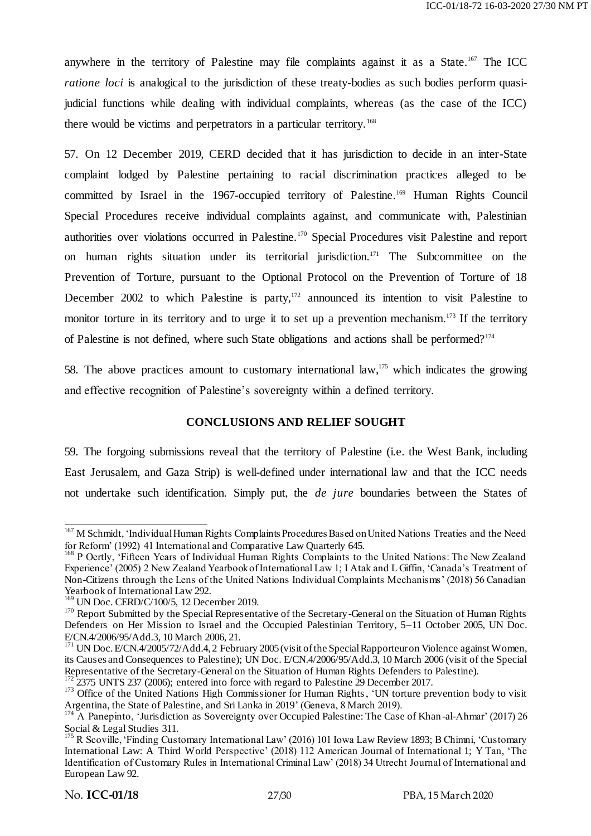anywhere in the territory of Palestine may file complaints against it as a State.<sup>167</sup> The ICC *ratione loci* is analogical to the jurisdiction of these treaty-bodies as such bodies perform quasijudicial functions while dealing with individual complaints, whereas (as the case of the ICC) there would be victims and perpetrators in a particular territory.<sup>168</sup>

57. On 12 December 2019, CERD decided that it has jurisdiction to decide in an inter-State complaint lodged by Palestine pertaining to racial discrimination practices alleged to be committed by Israel in the 1967-occupied territory of Palestine. <sup>169</sup> Human Rights Council Special Procedures receive individual complaints against, and communicate with, Palestinian authorities over violations occurred in Palestine.<sup>170</sup> Special Procedures visit Palestine and report on human rights situation under its territorial jurisdiction. <sup>171</sup> The Subcommittee on the Prevention of Torture, pursuant to the Optional Protocol on the Prevention of Torture of 18 December 2002 to which Palestine is party, $172$  announced its intention to visit Palestine to monitor torture in its territory and to urge it to set up a prevention mechanism.<sup>173</sup> If the territory of Palestine is not defined, where such State obligations and actions shall be performed?<sup>174</sup>

58. The above practices amount to customary international law,<sup>175</sup> which indicates the growing and effective recognition of Palestine's sovereignty within a defined territory.

#### **CONCLUSIONS AND RELIEF SOUGHT**

59. The forgoing submissions reveal that the territory of Palestine (i.e. the West Bank, including East Jerusalem, and Gaza Strip) is well-defined under international law and that the ICC needs not undertake such identification. Simply put, the *de jure* boundaries between the States of

<sup>172</sup> 2375 UNTS 237 (2006); entered into force with regard to Palestine 29 December 2017.

<sup>-</sup><sup>167</sup> M Schmidt, 'Individual Human Rights Complaints Procedures Based on United Nations Treaties and the Need for Reform' (1992) 41 International and Comparative Law Quarterly 645.

<sup>&</sup>lt;sup>168</sup> P Oertly, 'Fifteen Years of Individual Human Rights Complaints to the United Nations: The New Zealand Experience' (2005) 2 New Zealand Yearbook of International Law 1; I Atak and L Giffin, 'Canada's Treatment of Non-Citizens through the Lens of the United Nations Individual Complaints Mechanisms' (2018) 56 Canadian Yearbook of International Law 292.

<sup>&</sup>lt;sup>169</sup> UN Doc. CERD/C/100/5, 12 December 2019.

<sup>&</sup>lt;sup>170</sup> Report Submitted by the Special Representative of the Secretary-General on the Situation of Human Rights Defenders on Her Mission to Israel and the Occupied Palestinian Territory, 5–11 October 2005, UN Doc. E/CN.4/2006/95/Add.3, 10 March 2006, 21.

<sup>&</sup>lt;sup>171</sup> UN Doc. E/CN.4/2005/72/Add.4, 2 February 2005 (visit of the Special Rapporteur on Violence against Women, its Causes and Consequences to Palestine); UN Doc. E/CN.4/2006/95/Add.3, 10 March 2006 (visit of the Special Representative of the Secretary-General on the Situation of Human Rights Defenders to Palestine).

<sup>&</sup>lt;sup>173</sup> Office of the United Nations High Commissioner for Human Rights, 'UN torture prevention body to visit Argentina, the State of Palestine, and Sri Lanka in 2019' (Geneva, 8 March 2019).

<sup>&</sup>lt;sup>174</sup> A Panepinto, 'Jurisdiction as Sovereignty over Occupied Palestine: The Case of Khan-al-Ahmar' (2017) 26 Social & Legal Studies 311.

<sup>&</sup>lt;sup>175</sup> R Scoville, 'Finding Customary International Law' (2016) 101 Iowa Law Review 1893; B Chimni, 'Customary International Law: A Third World Perspective' (2018) 112 American Journal of International 1; Y Tan, 'The Identification of Customary Rules in International Criminal Law' (2018) 34 Utrecht Journal of International and European Law 92.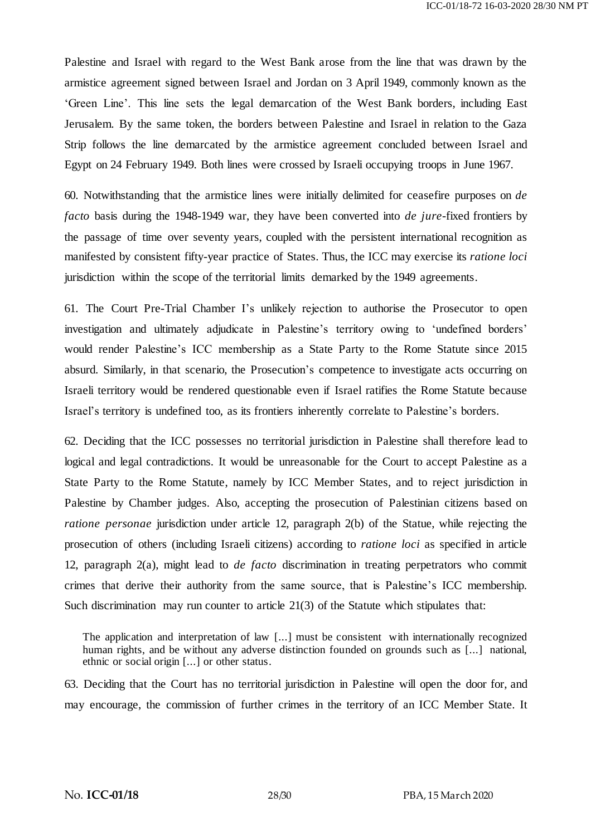Palestine and Israel with regard to the West Bank arose from the line that was drawn by the armistice agreement signed between Israel and Jordan on 3 April 1949, commonly known as the ‗Green Line'. This line sets the legal demarcation of the West Bank borders, including East Jerusalem. By the same token, the borders between Palestine and Israel in relation to the Gaza Strip follows the line demarcated by the armistice agreement concluded between Israel and Egypt on 24 February 1949. Both lines were crossed by Israeli occupying troops in June 1967.

60. Notwithstanding that the armistice lines were initially delimited for ceasefire purposes on *de facto* basis during the 1948-1949 war, they have been converted into *de jure*-fixed frontiers by the passage of time over seventy years, coupled with the persistent international recognition as manifested by consistent fifty-year practice of States. Thus, the ICC may exercise its *ratione loci* jurisdiction within the scope of the territorial limits demarked by the 1949 agreements.

61. The Court Pre-Trial Chamber I's unlikely rejection to authorise the Prosecutor to open investigation and ultimately adjudicate in Palestine's territory owing to 'undefined borders' would render Palestine's ICC membership as a State Party to the Rome Statute since 2015 absurd. Similarly, in that scenario, the Prosecution's competence to investigate acts occurring on Israeli territory would be rendered questionable even if Israel ratifies the Rome Statute because Israel's territory is undefined too, as its frontiers inherently correlate to Palestine's borders.

62. Deciding that the ICC possesses no territorial jurisdiction in Palestine shall therefore lead to logical and legal contradictions. It would be unreasonable for the Court to accept Palestine as a State Party to the Rome Statute, namely by ICC Member States, and to reject jurisdiction in Palestine by Chamber judges. Also, accepting the prosecution of Palestinian citizens based on *ratione personae* jurisdiction under article 12, paragraph 2(b) of the Statue, while rejecting the prosecution of others (including Israeli citizens) according to *ratione loci* as specified in article 12, paragraph 2(a), might lead to *de facto* discrimination in treating perpetrators who commit crimes that derive their authority from the same source, that is Palestine's ICC membership. Such discrimination may run counter to article 21(3) of the Statute which stipulates that:

The application and interpretation of law [...] must be consistent with internationally recognized human rights, and be without any adverse distinction founded on grounds such as [...] national, ethnic or social origin [...] or other status.

63. Deciding that the Court has no territorial jurisdiction in Palestine will open the door for, and may encourage, the commission of further crimes in the territory of an ICC Member State. It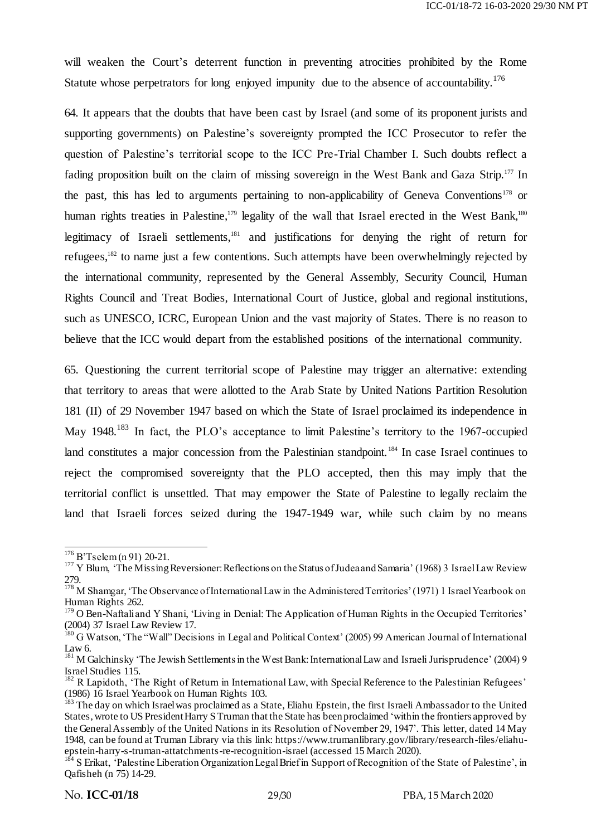will weaken the Court's deterrent function in preventing atrocities prohibited by the Rome Statute whose perpetrators for long enjoyed impunity due to the absence of accountability.<sup>176</sup>

64. It appears that the doubts that have been cast by Israel (and some of its proponent jurists and supporting governments) on Palestine's sovereignty prompted the ICC Prosecutor to refer the question of Palestine's territorial scope to the ICC Pre-Trial Chamber I. Such doubts reflect a fading proposition built on the claim of missing sovereign in the West Bank and Gaza Strip.<sup>177</sup> In the past, this has led to arguments pertaining to non-applicability of Geneva Conventions<sup>178</sup> or human rights treaties in Palestine,<sup>179</sup> legality of the wall that Israel erected in the West Bank,<sup>180</sup> legitimacy of Israeli settlements,<sup>181</sup> and justifications for denying the right of return for refugees,<sup>182</sup> to name just a few contentions. Such attempts have been overwhelmingly rejected by the international community, represented by the General Assembly, Security Council, Human Rights Council and Treat Bodies, International Court of Justice, global and regional institutions, such as UNESCO, ICRC, European Union and the vast majority of States. There is no reason to believe that the ICC would depart from the established positions of the international community.

65. Questioning the current territorial scope of Palestine may trigger an alternative: extending that territory to areas that were allotted to the Arab State by United Nations Partition Resolution 181 (II) of 29 November 1947 based on which the State of Israel proclaimed its independence in May 1948.<sup>183</sup> In fact, the PLO's acceptance to limit Palestine's territory to the 1967-occupied land constitutes a major concession from the Palestinian standpoint.<sup>184</sup> In case Israel continues to reject the compromised sovereignty that the PLO accepted, then this may imply that the territorial conflict is unsettled. That may empower the State of Palestine to legally reclaim the land that Israeli forces seized during the 1947-1949 war, while such claim by no means

-

<sup>&</sup>lt;sup>176</sup> B'Tselem (n 91) 20-21.

<sup>&</sup>lt;sup>177</sup> Y Blum, 'The Missing Reversioner: Reflections on the Status of Judea and Samaria' (1968) 3 Israel Law Review 279.

<sup>&</sup>lt;sup>178</sup> M Shamgar, 'The Observance of International Law in the Administered Territories' (1971) 1 Israel Yearbook on Human Rights 262.

<sup>&</sup>lt;sup>179</sup> O Ben-Naftali and Y Shani, 'Living in Denial: The Application of Human Rights in the Occupied Territories' (2004) 37 Israel Law Review 17.

<sup>&</sup>lt;sup>180</sup> G Watson, 'The "Wall" Decisions in Legal and Political Context' (2005) 99 American Journal of International Law 6.

<sup>&</sup>lt;sup>181</sup> M Galchinsky 'The Jewish Settlements in the West Bank: International Law and Israeli Jurisprudence' (2004) 9 Israel Studies 115.

<sup>&</sup>lt;sup>182</sup> R Lapidoth, 'The Right of Return in International Law, with Special Reference to the Palestinian Refugees' (1986) 16 Israel Yearbook on Human Rights 103.

<sup>&</sup>lt;sup>183</sup> The day on which Israel was proclaimed as a State, Eliahu Epstein, the first Israeli Ambassador to the United States, wrote to US President Harry STruman that the State has been proclaimed ‗within the frontiers approved by the General Assembly of the United Nations in its Resolution of November 29, 1947'. This letter, dated 14 May 1948, can be found at Truman Library via this link: ht[tps://www.trumanlibrary.gov/library/research-files/eliahu](https://www.trumanlibrary.gov/library/research-files/eliahu-epstein-harry-s-truman-attatchments-re-recognition-israel)[epstein-harry-s-truman-attatchments-re-recognition-isra](https://www.trumanlibrary.gov/library/research-files/eliahu-epstein-harry-s-truman-attatchments-re-recognition-israel)el (accessed 15 March 2020).

<sup>&</sup>lt;sup>184</sup> S Erikat, 'Palestine Liberation Organization Legal Brief in Support of Recognition of the State of Palestine', in Qafisheh (n 75) 14-29.